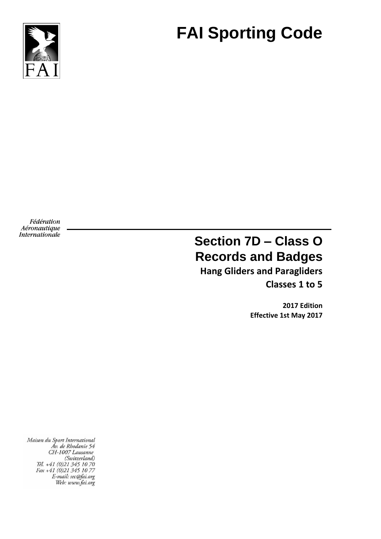

# **FAI Sporting Code**

Fédération Aéronautique Internationale

# **Section 7D – Class O Records and Badges**

**Hang Gliders and Paragliders Classes 1 to 5**

> **2017 Edition Effective 1st May 2017**

Maison du Sport International Áv. de Rhodanie 54 CH-1007 Lausanne (Switzerland) Tél. +41 (0)21 345 10 70<br>Fax +41 (0)21 345 10 77 E-mail: sec@fai.org Web: www.fai.org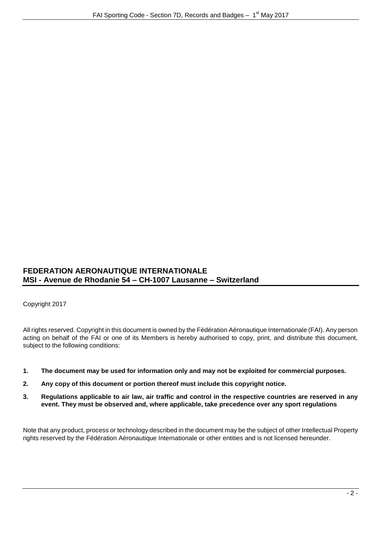# **FEDERATION AERONAUTIQUE INTERNATIONALE MSI - Avenue de Rhodanie 54 – CH-1007 Lausanne – Switzerland**

Copyright 2017

All rights reserved. Copyright in this document is owned by the Fédération Aéronautique Internationale (FAI). Any person acting on behalf of the FAI or one of its Members is hereby authorised to copy, print, and distribute this document, subject to the following conditions:

- **1. The document may be used for information only and may not be exploited for commercial purposes.**
- **2. Any copy of this document or portion thereof must include this copyright notice.**
- **3. Regulations applicable to air law, air traffic and control in the respective countries are reserved in any event. They must be observed and, where applicable, take precedence over any sport regulations**

Note that any product, process or technology described in the document may be the subject of other Intellectual Property rights reserved by the Fédération Aéronautique Internationale or other entities and is not licensed hereunder.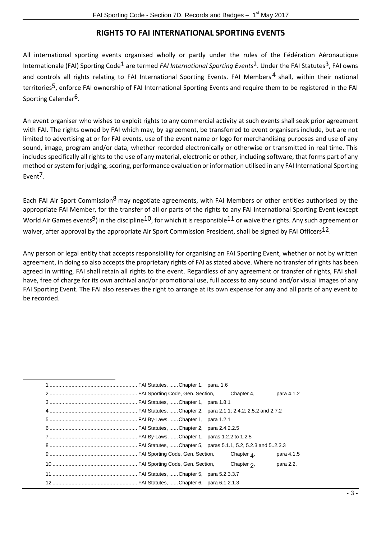# **RIGHTS TO FAI INTERNATIONAL SPORTING EVENTS**

All international sporting events organised wholly or partly under the rules of the Fédération Aéronautique Internationale (FAI) Sporting Code<sup>1</sup> are termed *FAI International Sporting Events*<sup>2</sup>. Under the FAI Statutes<sup>3</sup>, FAI owns and controls all rights relating to FAI International Sporting Events. FAI Members<sup>4</sup> shall, within their national territories<sup>5</sup>, enforce FAI ownership of FAI International Sporting Events and require them to be registered in the FAI Sporting Calendar<sup>6</sup>.

An event organiser who wishes to exploit rights to any commercial activity at such events shall seek prior agreement with FAI. The rights owned by FAI which may, by agreement, be transferred to event organisers include, but are not limited to advertising at or for FAI events, use of the event name or logo for merchandising purposes and use of any sound, image, program and/or data, whether recorded electronically or otherwise or transmitted in real time. This includes specifically all rights to the use of any material, electronic or other, including software, that forms part of any method or system for judging, scoring, performance evaluation or information utilised in any FAI International Sporting Event<sup>7</sup>.

Each FAI Air Sport Commission<sup>8</sup> may negotiate agreements, with FAI Members or other entities authorised by the appropriate FAI Member, for the transfer of all or parts of the rights to any FAI International Sporting Event (except World Air Games events<sup>9</sup>) in the discipline<sup>10</sup>, for which it is responsible<sup>11</sup> or waive the rights. Any such agreement or waiver, after approval by the appropriate Air Sport Commission President, shall be signed by FAI Officers<sup>12</sup>.

Any person or legal entity that accepts responsibility for organising an FAI Sporting Event, whether or not by written agreement, in doing so also accepts the proprietary rights of FAI as stated above. Where no transfer of rights has been agreed in writing, FAI shall retain all rights to the event. Regardless of any agreement or transfer of rights, FAI shall have, free of charge for its own archival and/or promotional use, full access to any sound and/or visual images of any FAI Sporting Event. The FAI also reserves the right to arrange at its own expense for any and all parts of any event to be recorded.

|  | para 4.1.2 |
|--|------------|
|  |            |
|  |            |
|  |            |
|  |            |
|  |            |
|  |            |
|  | para 4.1.5 |
|  | para 2.2.  |
|  |            |
|  |            |

l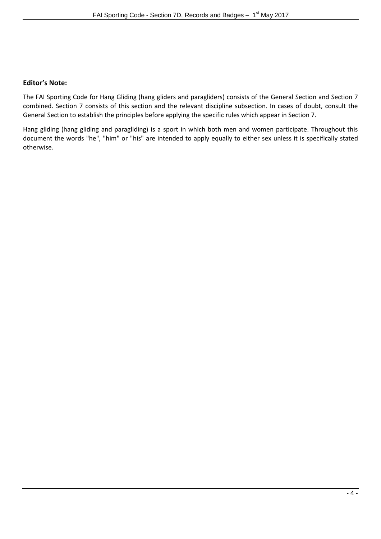# **Editor's Note:**

The FAI Sporting Code for Hang Gliding (hang gliders and paragliders) consists of the General Section and Section 7 combined. Section 7 consists of this section and the relevant discipline subsection. In cases of doubt, consult the General Section to establish the principles before applying the specific rules which appear in Section 7.

Hang gliding (hang gliding and paragliding) is a sport in which both men and women participate. Throughout this document the words "he", "him" or "his" are intended to apply equally to either sex unless it is specifically stated otherwise.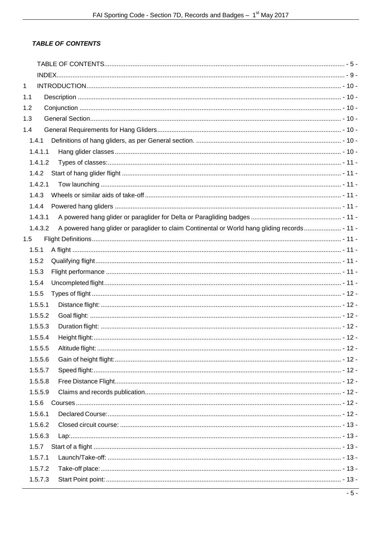# <span id="page-4-0"></span>**TABLE OF CONTENTS**

| 1   |         |                                                                                               |  |
|-----|---------|-----------------------------------------------------------------------------------------------|--|
| 1.1 |         |                                                                                               |  |
| 1.2 |         |                                                                                               |  |
| 1.3 |         |                                                                                               |  |
| 1.4 |         |                                                                                               |  |
|     | 1.4.1   |                                                                                               |  |
|     | 1.4.1.1 |                                                                                               |  |
|     | 1.4.1.2 |                                                                                               |  |
|     | 1.4.2   |                                                                                               |  |
|     | 1.4.2.1 |                                                                                               |  |
|     | 1.4.3   |                                                                                               |  |
|     | 1.4.4   |                                                                                               |  |
|     | 1.4.3.1 |                                                                                               |  |
|     | 1.4.3.2 | A powered hang glider or paraglider to claim Continental or World hang gliding records - 11 - |  |
| 1.5 |         |                                                                                               |  |
|     | 1.5.1   |                                                                                               |  |
|     | 1.5.2   |                                                                                               |  |
|     | 1.5.3   |                                                                                               |  |
|     | 1.5.4   |                                                                                               |  |
|     | 1.5.5   |                                                                                               |  |
|     | 1.5.5.1 |                                                                                               |  |
|     | 1.5.5.2 |                                                                                               |  |
|     | 1.5.5.3 |                                                                                               |  |
|     | 1.5.5.4 |                                                                                               |  |
|     | 1.5.5.5 |                                                                                               |  |
|     | 1.5.5.6 |                                                                                               |  |
|     | 1.5.5.7 |                                                                                               |  |
|     | 1.5.5.8 |                                                                                               |  |
|     | 1.5.5.9 |                                                                                               |  |
|     | 1.5.6   |                                                                                               |  |
|     | 1.5.6.1 |                                                                                               |  |
|     | 1.5.6.2 |                                                                                               |  |
|     | 1.5.6.3 |                                                                                               |  |
|     | 1.5.7   |                                                                                               |  |
|     | 1.5.7.1 |                                                                                               |  |
|     | 1.5.7.2 |                                                                                               |  |
|     | 1.5.7.3 |                                                                                               |  |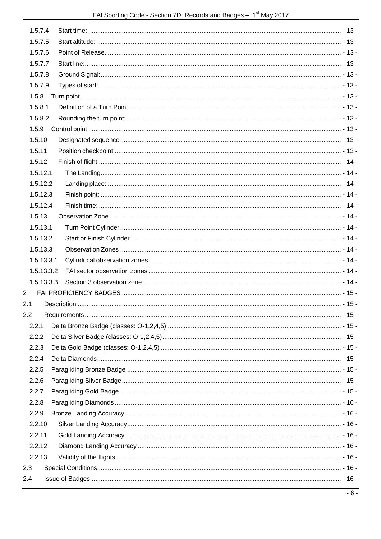| 1.5.7.4  |            |  |
|----------|------------|--|
| 1.5.7.5  |            |  |
| 1.5.7.6  |            |  |
| 1.5.7.7  |            |  |
| 1.5.7.8  |            |  |
| 1.5.7.9  |            |  |
| 1.5.8    |            |  |
| 1.5.8.1  |            |  |
| 1.5.8.2  |            |  |
| 1.5.9    |            |  |
| 1.5.10   |            |  |
| 1.5.11   |            |  |
| 1.5.12   |            |  |
| 1.5.12.1 |            |  |
|          | 1.5.12.2   |  |
| 1.5.12.3 |            |  |
| 1.5.12.4 |            |  |
| 1.5.13   |            |  |
| 1.5.13.1 |            |  |
|          | 1.5.13.2   |  |
|          | 1.5.13.3   |  |
|          | 1.5.13.3.1 |  |
|          | 1.5.13.3.2 |  |
|          | 1.5.13.3.3 |  |
| 2        |            |  |
| 2.1      |            |  |
| 2.2      |            |  |
| 2.2.1    |            |  |
| 2.2.2    |            |  |
| 2.2.3    |            |  |
| 2.2.4    |            |  |
| 2.2.5    |            |  |
| 2.2.6    |            |  |
| 2.2.7    |            |  |
| 2.2.8    |            |  |
| 2.2.9    |            |  |
| 2.2.10   |            |  |
| 2.2.11   |            |  |
| 2.2.12   |            |  |
| 2.2.13   |            |  |
| 2.3      |            |  |
| 2.4      |            |  |
|          |            |  |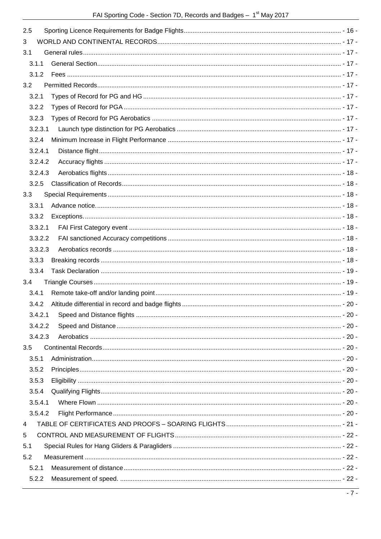| 2.5     |  |
|---------|--|
| 3       |  |
| 3.1     |  |
| 3.1.1   |  |
| 3.1.2   |  |
| 3.2     |  |
| 3.2.1   |  |
| 3.2.2   |  |
| 3.2.3   |  |
| 3.2.3.1 |  |
| 3.2.4   |  |
| 3.2.4.1 |  |
| 3.2.4.2 |  |
| 3.2.4.3 |  |
| 3.2.5   |  |
| 3.3     |  |
| 3.3.1   |  |
| 3.3.2   |  |
| 3.3.2.1 |  |
| 3.3.2.2 |  |
| 3.3.2.3 |  |
| 3.3.3   |  |
| 3.3.4   |  |
| 3.4     |  |
| 3.4.1   |  |
| 3.4.2   |  |
| 3.4.2.1 |  |
| 3.4.2.2 |  |
| 3.4.2.3 |  |
| 3.5     |  |
| 3.5.1   |  |
| 3.5.2   |  |
| 3.5.3   |  |
| 3.5.4   |  |
| 3.5.4.1 |  |
| 3.5.4.2 |  |
| 4       |  |
| 5       |  |
| 5.1     |  |
| 5.2     |  |
| 5.2.1   |  |
| 5.2.2   |  |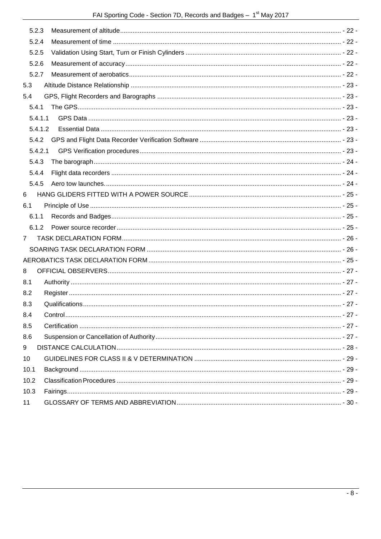|                | 5.2.3   |                                                                                                                                                                                                                                |  |
|----------------|---------|--------------------------------------------------------------------------------------------------------------------------------------------------------------------------------------------------------------------------------|--|
|                | 5.2.4   |                                                                                                                                                                                                                                |  |
|                | 5.2.5   |                                                                                                                                                                                                                                |  |
|                | 5.2.6   |                                                                                                                                                                                                                                |  |
|                | 5.2.7   |                                                                                                                                                                                                                                |  |
| 5.3            |         |                                                                                                                                                                                                                                |  |
| 5.4            |         |                                                                                                                                                                                                                                |  |
|                | 5.4.1   |                                                                                                                                                                                                                                |  |
|                | 5.4.1.1 |                                                                                                                                                                                                                                |  |
|                | 5.4.1.2 |                                                                                                                                                                                                                                |  |
|                | 5.4.2   |                                                                                                                                                                                                                                |  |
|                | 5.4.2.1 |                                                                                                                                                                                                                                |  |
|                | 5.4.3   |                                                                                                                                                                                                                                |  |
|                | 5.4.4   |                                                                                                                                                                                                                                |  |
|                | 5.4.5   |                                                                                                                                                                                                                                |  |
| 6              |         |                                                                                                                                                                                                                                |  |
| 6.1            |         |                                                                                                                                                                                                                                |  |
|                | 6.1.1   |                                                                                                                                                                                                                                |  |
|                | 6.1.2   |                                                                                                                                                                                                                                |  |
| $\overline{7}$ |         |                                                                                                                                                                                                                                |  |
|                |         |                                                                                                                                                                                                                                |  |
|                |         |                                                                                                                                                                                                                                |  |
| 8              |         |                                                                                                                                                                                                                                |  |
| 8.1            |         | - 27 - شان المستقدم المستقدم المستقدم المستقدم المستقدم المستقدم المستقدم المستقدم المستقدم المستقدم المستقدم المستقدم المستقدم المستقدم المستقدم المستقدم المستقدم المستقدم المستقدم المستقدم المستقدم المستقدم المستقدم المس |  |
| 8.2            |         |                                                                                                                                                                                                                                |  |
| 8.3            |         |                                                                                                                                                                                                                                |  |
| 8.4            |         |                                                                                                                                                                                                                                |  |
| 8.5            |         |                                                                                                                                                                                                                                |  |
| 8.6            |         |                                                                                                                                                                                                                                |  |
| 9              |         |                                                                                                                                                                                                                                |  |
| 10             |         |                                                                                                                                                                                                                                |  |
| 10.1           |         |                                                                                                                                                                                                                                |  |
| 10.2           |         |                                                                                                                                                                                                                                |  |
| 10.3           |         |                                                                                                                                                                                                                                |  |
| 11             |         |                                                                                                                                                                                                                                |  |
|                |         |                                                                                                                                                                                                                                |  |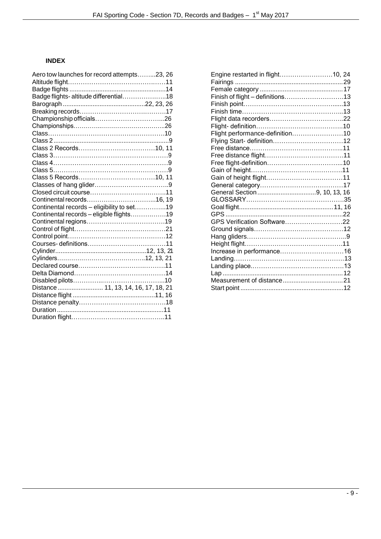# <span id="page-8-0"></span>**INDEX**

| Aero tow launches for record attempts23, 26 |  |
|---------------------------------------------|--|
|                                             |  |
|                                             |  |
| Badge flights-altitude differential18       |  |
|                                             |  |
|                                             |  |
|                                             |  |
|                                             |  |
|                                             |  |
|                                             |  |
|                                             |  |
|                                             |  |
|                                             |  |
|                                             |  |
|                                             |  |
|                                             |  |
|                                             |  |
|                                             |  |
| Continental records - eligibility to set19  |  |
| Continental records - eligible flights19    |  |
|                                             |  |
|                                             |  |
|                                             |  |
|                                             |  |
|                                             |  |
|                                             |  |
|                                             |  |
|                                             |  |
|                                             |  |
| Distance  11, 13, 14, 16, 17, 18, 21        |  |
|                                             |  |
|                                             |  |
|                                             |  |
|                                             |  |
|                                             |  |

| Engine restarted in flight10, 24 |  |
|----------------------------------|--|
|                                  |  |
|                                  |  |
| Finish of flight - definitions13 |  |
|                                  |  |
|                                  |  |
|                                  |  |
|                                  |  |
| Flight performance-definition10  |  |
|                                  |  |
|                                  |  |
|                                  |  |
|                                  |  |
|                                  |  |
|                                  |  |
|                                  |  |
|                                  |  |
|                                  |  |
|                                  |  |
|                                  |  |
| GPS Verification Software22      |  |
|                                  |  |
|                                  |  |
|                                  |  |
|                                  |  |
|                                  |  |
|                                  |  |
|                                  |  |
|                                  |  |
|                                  |  |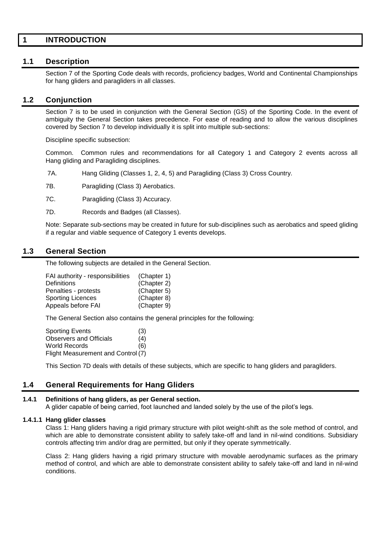# <span id="page-9-0"></span>**1 INTRODUCTION**

# <span id="page-9-1"></span>**1.1 Description**

Section 7 of the Sporting Code deals with records, proficiency badges, World and Continental Championships for hang gliders and paragliders in all classes.

# <span id="page-9-2"></span>**1.2 Conjunction**

Section 7 is to be used in conjunction with the General Section (GS) of the Sporting Code. In the event of ambiguity the General Section takes precedence. For ease of reading and to allow the various disciplines covered by Section 7 to develop individually it is split into multiple sub-sections:

Discipline specific subsection:

Common. Common rules and recommendations for all Category 1 and Category 2 events across all Hang gliding and Paragliding disciplines.

7A. Hang Gliding (Classes 1, 2, 4, 5) and Paragliding (Class 3) Cross Country.

7B. Paragliding (Class 3) Aerobatics.

7C. Paragliding (Class 3) Accuracy.

7D. Records and Badges (all Classes).

Note: Separate sub-sections may be created in future for sub-disciplines such as aerobatics and speed gliding if a regular and viable sequence of Category 1 events develops.

# <span id="page-9-3"></span>**1.3 General Section**

The following subjects are detailed in the General Section.

| FAI authority - responsibilities | (Chapter 1) |
|----------------------------------|-------------|
| <b>Definitions</b>               | (Chapter 2) |
| Penalties - protests             | (Chapter 5) |
| <b>Sporting Licences</b>         | (Chapter 8) |
| Appeals before FAI               | (Chapter 9) |

The General Section also contains the general principles for the following:

| <b>Sporting Events</b>             | (3) |
|------------------------------------|-----|
| <b>Observers and Officials</b>     | (4) |
| World Records                      | (6) |
| Flight Measurement and Control (7) |     |

This Section 7D deals with details of these subjects, which are specific to hang gliders and paragliders.

# <span id="page-9-4"></span>**1.4 General Requirements for Hang Gliders**

#### <span id="page-9-5"></span>**1.4.1 Definitions of hang gliders, as per General section.**

A glider capable of being carried, foot launched and landed solely by the use of the pilot's legs.

#### <span id="page-9-6"></span>**1.4.1.1 Hang glider classes**

Class 1: Hang gliders having a rigid primary structure with pilot weight-shift as the sole method of control, and which are able to demonstrate consistent ability to safely take-off and land in nil-wind conditions. Subsidiary controls affecting trim and/or drag are permitted, but only if they operate symmetrically.

Class 2: Hang gliders having a rigid primary structure with movable aerodynamic surfaces as the primary method of control, and which are able to demonstrate consistent ability to safely take-off and land in nil-wind conditions.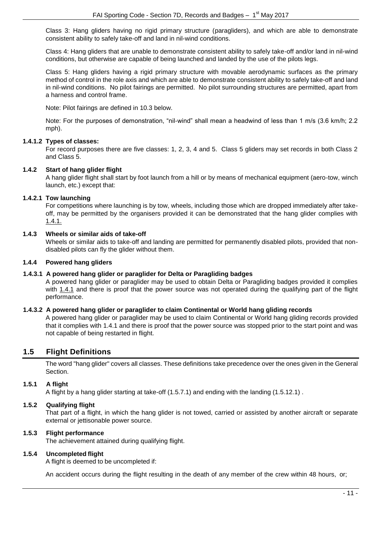Class 3: Hang gliders having no rigid primary structure (paragliders), and which are able to demonstrate consistent ability to safely take-off and land in nil-wind conditions.

Class 4: Hang gliders that are unable to demonstrate consistent ability to safely take-off and/or land in nil-wind conditions, but otherwise are capable of being launched and landed by the use of the pilots legs.

Class 5: Hang gliders having a rigid primary structure with movable aerodynamic surfaces as the primary method of control in the role axis and which are able to demonstrate consistent ability to safely take-off and land in nil-wind conditions. No pilot fairings are permitted. No pilot surrounding structures are permitted, apart from a harness and control frame.

Note: Pilot fairings are defined in 10.3 below.

Note: For the purposes of demonstration, "nil-wind" shall mean a headwind of less than 1 m/s (3.6 km/h; 2.2 mph).

# <span id="page-10-0"></span>**1.4.1.2 Types of classes:**

For record purposes there are five classes: 1, 2, 3, 4 and 5. Class 5 gliders may set records in both Class 2 and Class 5.

# <span id="page-10-1"></span>**1.4.2 Start of hang glider flight**

A hang glider flight shall start by foot launch from a hill or by means of mechanical equipment (aero-tow, winch launch, etc.) except that:

# <span id="page-10-2"></span>**1.4.2.1 Tow launching**

For competitions where launching is by tow, wheels, including those which are dropped immediately after takeoff, may be permitted by the organisers provided it can be demonstrated that the hang glider complies with [1.4.1.](#page-9-5)

# <span id="page-10-3"></span>**1.4.3 Wheels or similar aids of take-off**

Wheels or similar aids to take-off and landing are permitted for permanently disabled pilots, provided that nondisabled pilots can fly the glider without them.

# <span id="page-10-4"></span>**1.4.4 Powered hang gliders**

# <span id="page-10-5"></span>**1.4.3.1 A powered hang glider or paraglider for Delta or Paragliding badges**

A powered hang glider or paraglider may be used to obtain Delta or Paragliding badges provided it complies with [1.4.1](#page-9-5) and there is proof that the power source was not operated during the qualifying part of the flight performance.

# <span id="page-10-6"></span>**1.4.3.2 A powered hang glider or paraglider to claim Continental or World hang gliding records**

A powered hang glider or paraglider may be used to claim Continental or World hang gliding records provided that it complies with 1.4.1 and there is proof that the power source was stopped prior to the start point and was not capable of being restarted in flight.

# <span id="page-10-7"></span>**1.5 Flight Definitions**

The word "hang glider" covers all classes. These definitions take precedence over the ones given in the General Section.

# <span id="page-10-8"></span>**1.5.1 A flight**

A flight by a hang glider starting at take-off (1.5.7.1) and ending with the landing (1.5.12.1) .

# <span id="page-10-9"></span>**1.5.2 Qualifying flight**

That part of a flight, in which the hang glider is not towed, carried or assisted by another aircraft or separate external or jettisonable power source.

# <span id="page-10-10"></span>**1.5.3 Flight performance**

The achievement attained during qualifying flight.

# <span id="page-10-11"></span>**1.5.4 Uncompleted flight**

A flight is deemed to be uncompleted if:

An accident occurs during the flight resulting in the death of any member of the crew within 48 hours, or;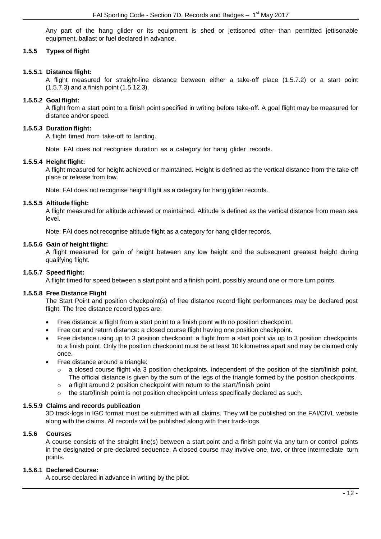Any part of the hang glider or its equipment is shed or jettisoned other than permitted jettisonable equipment, ballast or fuel declared in advance.

# <span id="page-11-0"></span>**1.5.5 Types of flight**

## <span id="page-11-1"></span>**1.5.5.1 Distance flight:**

A flight measured for straight-line distance between either a take-off place (1.5.7.2) or a start point (1.5.7.3) and a finish point (1.5.12.3).

## <span id="page-11-2"></span>**1.5.5.2 Goal flight:**

A flight from a start point to a finish point specified in writing before take-off. A goal flight may be measured for distance and/or speed.

#### <span id="page-11-3"></span>**1.5.5.3 Duration flight:**

A flight timed from take-off to landing.

Note: FAI does not recognise duration as a category for hang glider records.

#### <span id="page-11-4"></span>**1.5.5.4 Height flight:**

A flight measured for height achieved or maintained. Height is defined as the vertical distance from the take-off place or release from tow.

Note: FAI does not recognise height flight as a category for hang glider records.

#### <span id="page-11-5"></span>**1.5.5.5 Altitude flight:**

A flight measured for altitude achieved or maintained. Altitude is defined as the vertical distance from mean sea level.

Note: FAI does not recognise altitude flight as a category for hang glider records.

#### <span id="page-11-6"></span>**1.5.5.6 Gain of height flight:**

A flight measured for gain of height between any low height and the subsequent greatest height during qualifying flight.

## <span id="page-11-7"></span>**1.5.5.7 Speed flight:**

A flight timed for speed between a start point and a finish point, possibly around one or more turn points.

#### <span id="page-11-8"></span>**1.5.5.8 Free Distance Flight**

The Start Point and position checkpoint(s) of free distance record flight performances may be declared post flight. The free distance record types are:

- Free distance: a flight from a start point to a finish point with no position checkpoint.
- Free out and return distance: a closed course flight having one position checkpoint.
- Free distance using up to 3 position checkpoint: a flight from a start point via up to 3 position checkpoints to a finish point. Only the position checkpoint must be at least 10 kilometres apart and may be claimed only once.
- Free distance around a triangle:
	- $\circ$  a closed course flight via 3 position checkpoints, independent of the position of the start/finish point. The official distance is given by the sum of the legs of the triangle formed by the position checkpoints.
	- o a flight around 2 position checkpoint with return to the start/finish point
	- $\circ$  the start/finish point is not position checkpoint unless specifically declared as such.

# <span id="page-11-9"></span>**1.5.5.9 Claims and records publication**

3D track-logs in IGC format must be submitted with all claims. They will be published on the FAI/CIVL website along with the claims. All records will be published along with their track-logs.

# <span id="page-11-10"></span>**1.5.6 Courses**

A course consists of the straight line(s) between a start point and a finish point via any turn or control points in the designated or pre-declared sequence. A closed course may involve one, two, or three intermediate turn points.

# <span id="page-11-11"></span>**1.5.6.1 Declared Course:**

A course declared in advance in writing by the pilot.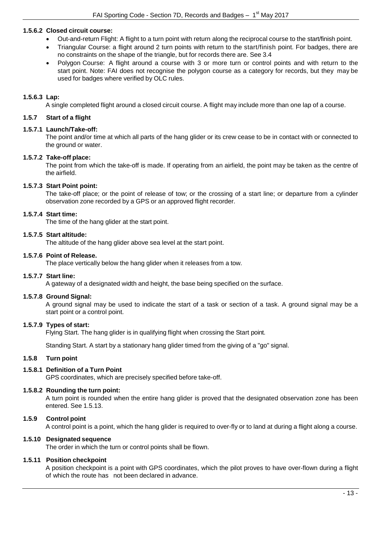# <span id="page-12-0"></span>**1.5.6.2 Closed circuit course:**

- Out-and-return Flight: A flight to a turn point with return along the reciprocal course to the start/finish point.
- Triangular Course: a flight around 2 turn points with return to the start/finish point. For badges, there are no constraints on the shape of the triangle, but for records there are. See 3.4
- Polygon Course: A flight around a course with 3 or more turn or control points and with return to the start point. Note: FAI does not recognise the polygon course as a category for records, but they may be used for badges where verified by OLC rules.

# <span id="page-12-1"></span>**1.5.6.3 Lap:**

A single completed flight around a closed circuit course. A flight may include more than one lap of a course.

## <span id="page-12-2"></span>**1.5.7 Start of a flight**

#### <span id="page-12-3"></span>**1.5.7.1 Launch/Take-off:**

The point and/or time at which all parts of the hang glider or its crew cease to be in contact with or connected to the ground or water.

#### <span id="page-12-4"></span>**1.5.7.2 Take-off place:**

The point from which the take-off is made. If operating from an airfield, the point may be taken as the centre of the airfield.

#### <span id="page-12-5"></span>**1.5.7.3 Start Point point:**

The take-off place; or the point of release of tow; or the crossing of a start line; or departure from a cylinder observation zone recorded by a GPS or an approved flight recorder.

#### <span id="page-12-6"></span>**1.5.7.4 Start time:**

The time of the hang glider at the start point.

#### <span id="page-12-7"></span>**1.5.7.5 Start altitude:**

The altitude of the hang glider above sea level at the start point.

#### <span id="page-12-8"></span>**1.5.7.6 Point of Release.**

The place vertically below the hang glider when it releases from a tow.

# <span id="page-12-9"></span>**1.5.7.7 Start line:**

A gateway of a designated width and height, the base being specified on the surface.

#### <span id="page-12-10"></span>**1.5.7.8 Ground Signal:**

A ground signal may be used to indicate the start of a task or section of a task. A ground signal may be a start point or a control point.

# <span id="page-12-11"></span>**1.5.7.9 Types of start:**

Flying Start. The hang glider is in qualifying flight when crossing the Start point.

Standing Start. A start by a stationary hang glider timed from the giving of a "go" signal.

#### <span id="page-12-12"></span>**1.5.8 Turn point**

# <span id="page-12-13"></span>**1.5.8.1 Definition of a Turn Point**

GPS coordinates, which are precisely specified before take-off.

#### <span id="page-12-14"></span>**1.5.8.2 Rounding the turn point:**

A turn point is rounded when the entire hang glider is proved that the designated observation zone has been entered. See 1.5.13.

# <span id="page-12-15"></span>**1.5.9 Control point**

A control point is a point, which the hang glider is required to over-fly or to land at during a flight along a course.

# <span id="page-12-16"></span>**1.5.10 Designated sequence**

The order in which the turn or control points shall be flown.

# <span id="page-12-17"></span>**1.5.11 Position checkpoint**

A position checkpoint is a point with GPS coordinates, which the pilot proves to have over-flown during a flight of which the route has not been declared in advance.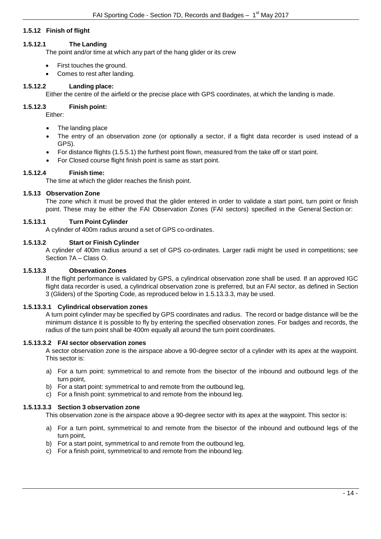# <span id="page-13-0"></span>**1.5.12 Finish of flight**

# <span id="page-13-1"></span>**1.5.12.1 The Landing**

The point and/or time at which any part of the hang glider or its crew

- First touches the ground.
- Comes to rest after landing.

# <span id="page-13-2"></span>**1.5.12.2 Landing place:**

Either the centre of the airfield or the precise place with GPS coordinates, at which the landing is made.

# <span id="page-13-3"></span>**1.5.12.3 Finish point:**

Either:

- The landing place
- The entry of an observation zone (or optionally a sector, if a flight data recorder is used instead of a GPS).
- For distance flights (1.5.5.1) the furthest point flown, measured from the take off or start point.
- For Closed course flight finish point is same as start point.

# <span id="page-13-4"></span>**1.5.12.4 Finish time:**

The time at which the glider reaches the finish point.

# <span id="page-13-5"></span>**1.5.13 Observation Zone**

The zone which it must be proved that the glider entered in order to validate a start point, turn point or finish point. These may be either the FAI Observation Zones (FAI sectors) specified in the General Section or:

# <span id="page-13-6"></span>**1.5.13.1 Turn Point Cylinder**

A cylinder of 400m radius around a set of GPS co-ordinates.

# <span id="page-13-7"></span>**1.5.13.2 Start or Finish Cylinder**

A cylinder of 400m radius around a set of GPS co-ordinates. Larger radii might be used in competitions; see Section 7A – Class O.

# <span id="page-13-8"></span>**1.5.13.3 Observation Zones**

If the flight performance is validated by GPS, a cylindrical observation zone shall be used. If an approved IGC flight data recorder is used, a cylindrical observation zone is preferred, but an FAI sector, as defined in Section 3 (Gliders) of the Sporting Code, as reproduced below in 1.5.13.3.3, may be used.

# <span id="page-13-9"></span>**1.5.13.3.1 Cylindrical observation zones**

A turn point cylinder may be specified by GPS coordinates and radius. The record or badge distance will be the minimum distance it is possible to fly by entering the specified observation zones. For badges and records, the radius of the turn point shall be 400m equally all around the turn point coordinates.

# <span id="page-13-10"></span>**1.5.13.3.2 FAI sector observation zones**

A sector observation zone is the airspace above a 90-degree sector of a cylinder with its apex at the waypoint. This sector is:

- a) For a turn point: symmetrical to and remote from the bisector of the inbound and outbound legs of the turn point,
- b) For a start point: symmetrical to and remote from the outbound leg,
- c) For a finish point: symmetrical to and remote from the inbound leg.

# <span id="page-13-11"></span>**1.5.13.3.3 Section 3 observation zone**

This observation zone is the airspace above a 90-degree sector with its apex at the waypoint. This sector is:

- a) For a turn point, symmetrical to and remote from the bisector of the inbound and outbound legs of the turn point,
- b) For a start point, symmetrical to and remote from the outbound leg,
- c) For a finish point, symmetrical to and remote from the inbound leg.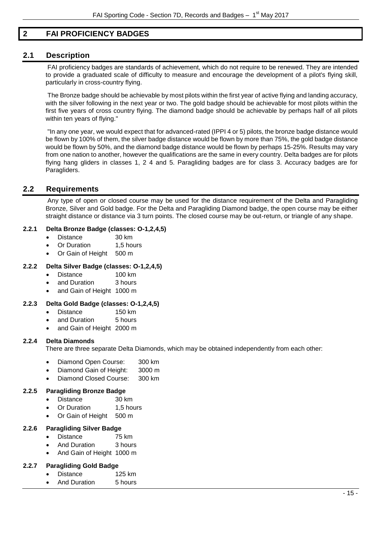# <span id="page-14-0"></span>**2 FAI PROFICIENCY BADGES**

# <span id="page-14-1"></span>**2.1 Description**

FAI proficiency badges are standards of achievement, which do not require to be renewed. They are intended to provide a graduated scale of difficulty to measure and encourage the development of a pilot's flying skill, particularly in cross-country flying.

The Bronze badge should be achievable by most pilots within the first year of active flying and landing accuracy, with the silver following in the next year or two. The gold badge should be achievable for most pilots within the first five years of cross country flying. The diamond badge should be achievable by perhaps half of all pilots within ten years of flying."

"In any one year, we would expect that for advanced-rated (IPPI 4 or 5) pilots, the bronze badge distance would be flown by 100% of them, the silver badge distance would be flown by more than 75%, the gold badge distance would be flown by 50%, and the diamond badge distance would be flown by perhaps 15-25%. Results may vary from one nation to another, however the qualifications are the same in every country. Delta badges are for pilots flying hang gliders in classes 1, 2 4 and 5. Paragliding badges are for class 3. Accuracy badges are for Paragliders.

# <span id="page-14-2"></span>**2.2 Requirements**

Any type of open or closed course may be used for the distance requirement of the Delta and Paragliding Bronze, Silver and Gold badge. For the Delta and Paragliding Diamond badge, the open course may be either straight distance or distance via 3 turn points. The closed course may be out-return, or triangle of any shape.

# <span id="page-14-3"></span>**2.2.1 Delta Bronze Badge (classes: O-1,2,4,5)**

- Distance 30 km
- Or Duration 1,5 hours
- Or Gain of Height 500 m

# <span id="page-14-4"></span>**2.2.2 Delta Silver Badge (classes: O-1,2,4,5)**

- Distance 100 km
- and Duration 3 hours
- and Gain of Height 1000 m

# <span id="page-14-5"></span>**2.2.3 Delta Gold Badge (classes: O-1,2,4,5)**

- Distance 150 km
- and Duration 5 hours
- and Gain of Height 2000 m

# <span id="page-14-6"></span>**2.2.4 Delta Diamonds**

There are three separate Delta Diamonds, which may be obtained independently from each other:

- Diamond Open Course: 300 km
- Diamond Gain of Height: 3000 m
- Diamond Closed Course: 300 km

# <span id="page-14-7"></span>**2.2.5 Paragliding Bronze Badge**

- Distance 30 km
- Or Duration 1,5 hours
- Or Gain of Height 500 m

# <span id="page-14-8"></span>**2.2.6 Paragliding Silver Badge**

- Distance 75 km
- And Duration 3 hours
- And Gain of Height 1000 m

# <span id="page-14-9"></span>**2.2.7 Paragliding Gold Badge**

- Distance 125 km
- And Duration 5 hours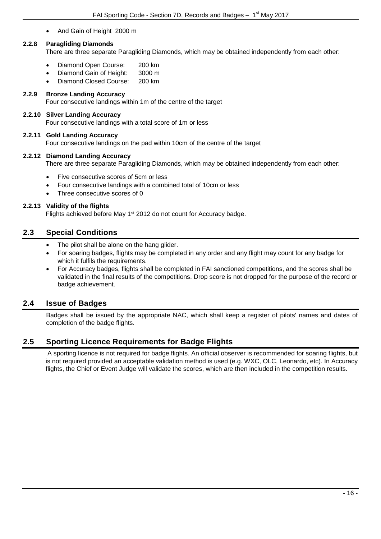• And Gain of Height 2000 m

# <span id="page-15-0"></span>**2.2.8 Paragliding Diamonds**

There are three separate Paragliding Diamonds, which may be obtained independently from each other:

- Diamond Open Course: 200 km
- Diamond Gain of Height: 3000 m
- Diamond Closed Course: 200 km

# <span id="page-15-1"></span>**2.2.9 Bronze Landing Accuracy**

Four consecutive landings within 1m of the centre of the target

# <span id="page-15-2"></span>**2.2.10 Silver Landing Accuracy**

Four consecutive landings with a total score of 1m or less

# <span id="page-15-3"></span>**2.2.11 Gold Landing Accuracy**

Four consecutive landings on the pad within 10cm of the centre of the target

#### <span id="page-15-4"></span>**2.2.12 Diamond Landing Accuracy**

There are three separate Paragliding Diamonds, which may be obtained independently from each other:

- Five consecutive scores of 5cm or less
- Four consecutive landings with a combined total of 10cm or less
- Three consecutive scores of 0

# <span id="page-15-5"></span>**2.2.13 Validity of the flights**

Flights achieved before May 1<sup>st</sup> 2012 do not count for Accuracy badge.

# <span id="page-15-6"></span>**2.3 Special Conditions**

- The pilot shall be alone on the hang glider.
- For soaring badges, flights may be completed in any order and any flight may count for any badge for which it fulfils the requirements.
- For Accuracy badges, flights shall be completed in FAI sanctioned competitions, and the scores shall be validated in the final results of the competitions. Drop score is not dropped for the purpose of the record or badge achievement.

# <span id="page-15-7"></span>**2.4 Issue of Badges**

Badges shall be issued by the appropriate NAC, which shall keep a register of pilots' names and dates of completion of the badge flights.

# <span id="page-15-8"></span>**2.5 Sporting Licence Requirements for Badge Flights**

A sporting licence is not required for badge flights. An official observer is recommended for soaring flights, but is not required provided an acceptable validation method is used (e.g. WXC, OLC, Leonardo, etc). In Accuracy flights, the Chief or Event Judge will validate the scores, which are then included in the competition results.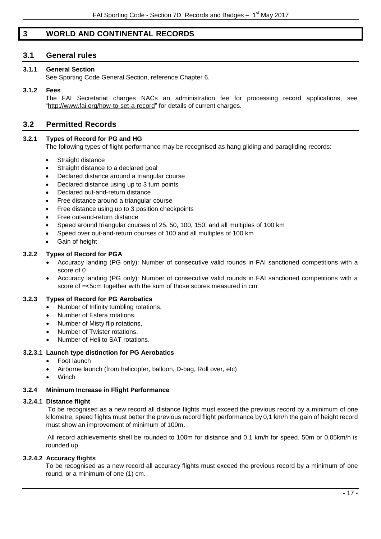# <span id="page-16-0"></span>**3 WORLD AND CONTINENTAL RECORDS**

# <span id="page-16-1"></span>**3.1 General rules**

# <span id="page-16-2"></span>**3.1.1 General Section**

See Sporting Code General Section, reference Chapter 6.

## <span id="page-16-3"></span>**3.1.2 Fees**

The FAI Secretariat charges NACs an administration fee for processing record applications, see ["http://www.fai.org/how-to-set-a-record"](http://www.fai.org/how-to-set-a-record) for details of current charges.

# <span id="page-16-4"></span>**3.2 Permitted Records**

# <span id="page-16-5"></span>**3.2.1 Types of Record for PG and HG**

The following types of flight performance may be recognised as hang gliding and paragliding records:

- Straight distance
- Straight distance to a declared goal
- Declared distance around a triangular course
- Declared distance using up to 3 turn points
- Declared out-and-return distance
- Free distance around a triangular course
- Free distance using up to 3 position checkpoints
- Free out-and-return distance
- Speed around triangular courses of 25, 50, 100, 150, and all multiples of 100 km
- Speed over out-and-return courses of 100 and all multiples of 100 km
- Gain of height

### <span id="page-16-6"></span>**3.2.2 Types of Record for PGA**

- Accuracy landing (PG only): Number of consecutive valid rounds in FAI sanctioned competitions with a score of 0
- Accuracy landing (PG only): Number of consecutive valid rounds in FAI sanctioned competitions with a score of =<5cm together with the sum of those scores measured in cm.

# <span id="page-16-7"></span>**3.2.3 Types of Record for PG Aerobatics**

- Number of Infinity tumbling rotations,
- Number of Esfera rotations,
- Number of Misty flip rotations,
- Number of Twister rotations,
- Number of Heli to SAT rotations.

#### <span id="page-16-8"></span>**3.2.3.1 Launch type distinction for PG Aerobatics**

- Foot launch
- Airborne launch (from helicopter, balloon, D-bag, Roll over, etc)
- **Winch**

# <span id="page-16-9"></span>**3.2.4 Minimum Increase in Flight Performance**

#### <span id="page-16-10"></span>**3.2.4.1 Distance flight**

To be recognised as a new record all distance flights must exceed the previous record by a minimum of one kilometre, speed flights must better the previous record flight performance by 0,1 km/h the gain of height record must show an improvement of minimum of 100m.

All record achievements shell be rounded to 100m for distance and 0,1 km/h for speed. 50m or 0,05km/h is rounded up.

#### <span id="page-16-11"></span>**3.2.4.2 Accuracy flights**

To be recognised as a new record all accuracy flights must exceed the previous record by a minimum of one round, or a minimum of one (1) cm.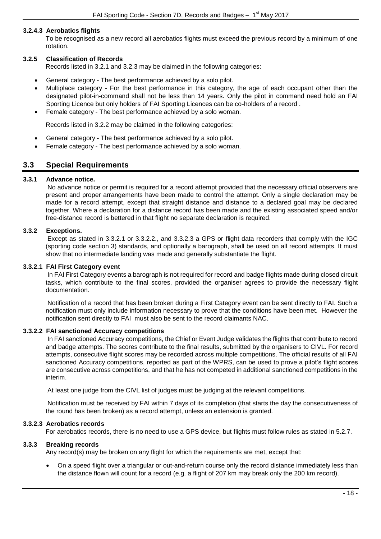# <span id="page-17-0"></span>**3.2.4.3 Aerobatics flights**

To be recognised as a new record all aerobatics flights must exceed the previous record by a minimum of one rotation.

# <span id="page-17-1"></span>**3.2.5 Classification of Records**

Records listed in 3.2.1 and 3.2.3 may be claimed in the following categories:

- General category The best performance achieved by a solo pilot.
- Multiplace category For the best performance in this category, the age of each occupant other than the designated pilot-in-command shall not be less than 14 years. Only the pilot in command need hold an FAI Sporting Licence but only holders of FAI Sporting Licences can be co-holders of a record .
- Female category The best performance achieved by a solo woman.

Records listed in 3.2.2 may be claimed in the following categories:

- General category The best performance achieved by a solo pilot.
- Female category The best performance achieved by a solo woman.

# <span id="page-17-2"></span>**3.3 Special Requirements**

# <span id="page-17-3"></span>**3.3.1 Advance notice.**

No advance notice or permit is required for a record attempt provided that the necessary official observers are present and proper arrangements have been made to control the attempt. Only a single declaration may be made for a record attempt, except that straight distance and distance to a declared goal may be declared together. Where a declaration for a distance record has been made and the existing associated speed and/or free-distance record is bettered in that flight no separate declaration is required.

# <span id="page-17-4"></span>**3.3.2 Exceptions.**

Except as stated in 3.3.2.1 or 3.3.2.2., and 3.3.2.3 a GPS or flight data recorders that comply with the IGC (sporting code section 3) standards, and optionally a barograph, shall be used on all record attempts. It must show that no intermediate landing was made and generally substantiate the flight.

## <span id="page-17-5"></span>**3.3.2.1 FAI First Category event**

In FAI First Category events a barograph is not required for record and badge flights made during closed circuit tasks, which contribute to the final scores, provided the organiser agrees to provide the necessary flight documentation.

Notification of a record that has been broken during a First Category event can be sent directly to FAI. Such a notification must only include information necessary to prove that the conditions have been met. However the notification sent directly to FAI must also be sent to the record claimants NAC.

# <span id="page-17-6"></span>**3.3.2.2 FAI sanctioned Accuracy competitions**

In FAI sanctioned Accuracy competitions, the Chief or Event Judge validates the flights that contribute to record and badge attempts. The scores contribute to the final results, submitted by the organisers to CIVL. For record attempts, consecutive flight scores may be recorded across multiple competitions. The official results of all FAI sanctioned Accuracy competitions, reported as part of the WPRS, can be used to prove a pilot's flight scores are consecutive across competitions, and that he has not competed in additional sanctioned competitions in the interim.

At least one judge from the CIVL list of judges must be judging at the relevant competitions.

Notification must be received by FAI within 7 days of its completion (that starts the day the consecutiveness of the round has been broken) as a record attempt, unless an extension is granted.

#### <span id="page-17-7"></span>**3.3.2.3 Aerobatics records**

For aerobatics records, there is no need to use a GPS device, but flights must follow rules as stated in 5.2.7.

# <span id="page-17-8"></span>**3.3.3 Breaking records**

Any record(s) may be broken on any flight for which the requirements are met, except that:

• On a speed flight over a triangular or out-and-return course only the record distance immediately less than the distance flown will count for a record (e.g. a flight of 207 km may break only the 200 km record).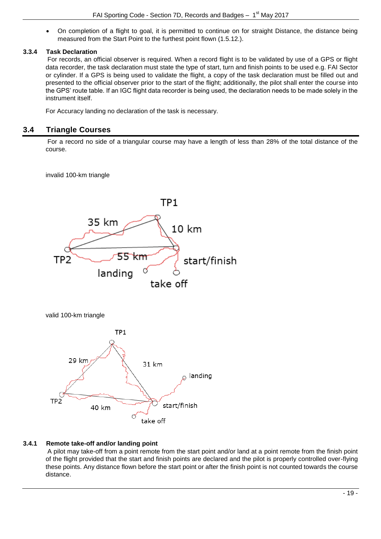• On completion of a flight to goal, it is permitted to continue on for straight Distance, the distance being measured from the Start Point to the furthest point flown (1.5.12.).

# <span id="page-18-0"></span>**3.3.4 Task Declaration**

For records, an official observer is required. When a record flight is to be validated by use of a GPS or flight data recorder, the task declaration must state the type of start, turn and finish points to be used e.g. FAI Sector or cylinder. If a GPS is being used to validate the flight, a copy of the task declaration must be filled out and presented to the official observer prior to the start of the flight; additionally, the pilot shall enter the course into the GPS' route table. If an IGC flight data recorder is being used, the declaration needs to be made solely in the instrument itself.

For Accuracy landing no declaration of the task is necessary.

# <span id="page-18-1"></span>**3.4 Triangle Courses**

For a record no side of a triangular course may have a length of less than 28% of the total distance of the course.

invalid 100-km triangle



valid 100-km triangle



# <span id="page-18-2"></span>**3.4.1 Remote take-off and/or landing point**

A pilot may take-off from a point remote from the start point and/or land at a point remote from the finish point of the flight provided that the start and finish points are declared and the pilot is properly controlled over-flying these points. Any distance flown before the start point or after the finish point is not counted towards the course distance.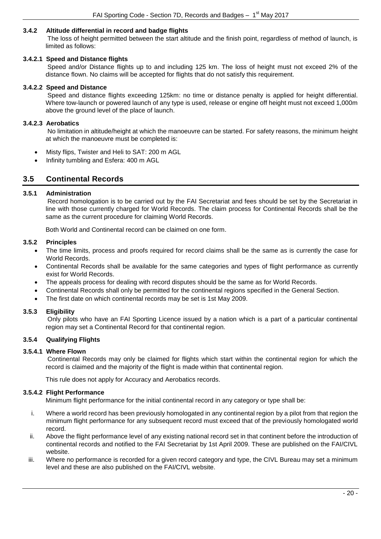# <span id="page-19-0"></span>**3.4.2 Altitude differential in record and badge flights**

The loss of height permitted between the start altitude and the finish point, regardless of method of launch, is limited as follows:

## <span id="page-19-1"></span>**3.4.2.1 Speed and Distance flights**

Speed and/or Distance flights up to and including 125 km. The loss of height must not exceed 2% of the distance flown. No claims will be accepted for flights that do not satisfy this requirement.

#### <span id="page-19-2"></span>**3.4.2.2 Speed and Distance**

Speed and distance flights exceeding 125km: no time or distance penalty is applied for height differential. Where tow-launch or powered launch of any type is used, release or engine off height must not exceed 1,000m above the ground level of the place of launch.

#### <span id="page-19-3"></span>**3.4.2.3 Aerobatics**

No limitation in altitude/height at which the manoeuvre can be started. For safety reasons, the minimum height at which the manoeuvre must be completed is:

- Misty flips, Twister and Heli to SAT: 200 m AGL
- Infinity tumbling and Esfera: 400 m AGL

# <span id="page-19-4"></span>**3.5 Continental Records**

#### <span id="page-19-5"></span>**3.5.1 Administration**

Record homologation is to be carried out by the FAI Secretariat and fees should be set by the Secretariat in line with those currently charged for World Records. The claim process for Continental Records shall be the same as the current procedure for claiming World Records.

Both World and Continental record can be claimed on one form.

#### <span id="page-19-6"></span>**3.5.2 Principles**

- The time limits, process and proofs required for record claims shall be the same as is currently the case for World Records.
- Continental Records shall be available for the same categories and types of flight performance as currently exist for World Records.
- The appeals process for dealing with record disputes should be the same as for World Records.
- Continental Records shall only be permitted for the continental regions specified in the General Section.
- The first date on which continental records may be set is 1st May 2009.

#### <span id="page-19-7"></span>**3.5.3 Eligibility**

Only pilots who have an FAI Sporting Licence issued by a nation which is a part of a particular continental region may set a Continental Record for that continental region.

# <span id="page-19-8"></span>**3.5.4 Qualifying Flights**

# <span id="page-19-9"></span>**3.5.4.1 Where Flown**

Continental Records may only be claimed for flights which start within the continental region for which the record is claimed and the majority of the flight is made within that continental region.

This rule does not apply for Accuracy and Aerobatics records.

#### <span id="page-19-10"></span>**3.5.4.2 Flight Performance**

Minimum flight performance for the initial continental record in any category or type shall be:

- i. Where a world record has been previously homologated in any continental region by a pilot from that region the minimum flight performance for any subsequent record must exceed that of the previously homologated world record.
- ii. Above the flight performance level of any existing national record set in that continent before the introduction of continental records and notified to the FAI Secretariat by 1st April 2009. These are published on the FAI/CIVL website.
- iii. Where no performance is recorded for a given record category and type, the CIVL Bureau may set a minimum level and these are also published on the FAI/CIVL website.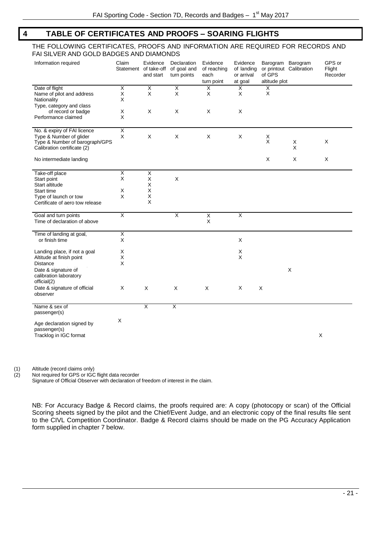# <span id="page-20-0"></span>**4 TABLE OF CERTIFICATES AND PROOFS – SOARING FLIGHTS**

#### THE FOLLOWING CERTIFICATES, PROOFS AND INFORMATION ARE REQUIRED FOR RECORDS AND FAI SILVER AND GOLD BADGES AND DIAMONDS

| Information required                                                | Claim                   | Evidence<br>Statement of take-off<br>and start | Declaration<br>of goal and<br>turn points | Evidence<br>of reaching<br>each<br>turn point | Evidence<br>of landing<br>or arrival<br>at goal | of GPS<br>altitude plot | Barogram Barogram<br>or printout Calibration | GPS or<br>Flight<br>Recorder |
|---------------------------------------------------------------------|-------------------------|------------------------------------------------|-------------------------------------------|-----------------------------------------------|-------------------------------------------------|-------------------------|----------------------------------------------|------------------------------|
| Date of flight                                                      | Χ                       | X                                              | X                                         | X                                             | $\overline{X}$                                  | $_{\rm X}^{\rm X}$      |                                              |                              |
| Name of pilot and address                                           | Χ                       | X                                              | X                                         | X                                             | X                                               |                         |                                              |                              |
| Nationality                                                         | Χ                       |                                                |                                           |                                               |                                                 |                         |                                              |                              |
| Type, category and class                                            |                         |                                                |                                           |                                               |                                                 |                         |                                              |                              |
| of record or badge                                                  | X                       | X                                              | X                                         | X                                             | X                                               |                         |                                              |                              |
| Performance claimed                                                 | X                       |                                                |                                           |                                               |                                                 |                         |                                              |                              |
| No. & expiry of FAI licence                                         | X                       |                                                |                                           |                                               |                                                 |                         |                                              |                              |
| Type & Number of glider                                             | X                       | X                                              | X                                         | X                                             | X                                               | $_{\rm X}^{\rm X}$      |                                              |                              |
| Type & Number of barograph/GPS<br>Calibration certificate (2)       |                         |                                                |                                           |                                               |                                                 |                         | X<br>X                                       | X                            |
|                                                                     |                         |                                                |                                           |                                               |                                                 |                         |                                              |                              |
| No intermediate landing                                             |                         |                                                |                                           |                                               |                                                 | X                       | X                                            | X                            |
| Take-off place                                                      | X                       | X                                              |                                           |                                               |                                                 |                         |                                              |                              |
| Start point                                                         | X                       | X                                              | X                                         |                                               |                                                 |                         |                                              |                              |
| Start altitude                                                      |                         | X                                              |                                           |                                               |                                                 |                         |                                              |                              |
| Start time                                                          | X                       | X                                              |                                           |                                               |                                                 |                         |                                              |                              |
| Type of launch or tow                                               | X                       | Χ                                              |                                           |                                               |                                                 |                         |                                              |                              |
| Certificate of aero tow release                                     |                         | X                                              |                                           |                                               |                                                 |                         |                                              |                              |
| Goal and turn points<br>Time of declaration of above                | $\overline{\mathsf{x}}$ |                                                | X                                         | X<br>X                                        | $\overline{\mathsf{x}}$                         |                         |                                              |                              |
| Time of landing at goal,                                            | X                       |                                                |                                           |                                               |                                                 |                         |                                              |                              |
| or finish time                                                      | X                       |                                                |                                           |                                               | X                                               |                         |                                              |                              |
|                                                                     |                         |                                                |                                           |                                               |                                                 |                         |                                              |                              |
| Landing place, if not a goal                                        | X                       |                                                |                                           |                                               | X                                               |                         |                                              |                              |
| Altitude at finish point                                            | X                       |                                                |                                           |                                               | X                                               |                         |                                              |                              |
| <b>Distance</b>                                                     | X                       |                                                |                                           |                                               |                                                 |                         |                                              |                              |
| Date & signature of<br>calibration laboratory                       |                         |                                                |                                           |                                               |                                                 |                         | X                                            |                              |
| official(2)<br>Date & signature of official                         | X                       | X                                              | X                                         | Χ                                             | X                                               | X                       |                                              |                              |
| observer                                                            |                         |                                                |                                           |                                               |                                                 |                         |                                              |                              |
| Name & sex of                                                       |                         | X                                              | $\overline{\mathsf{x}}$                   |                                               |                                                 |                         |                                              |                              |
| passenger(s)                                                        |                         |                                                |                                           |                                               |                                                 |                         |                                              |                              |
| Age declaration signed by<br>passenger(s)<br>Tracklog in IGC format | X                       |                                                |                                           |                                               |                                                 |                         |                                              | X                            |

(1) Altitude (record claims only)

(2) Not required for GPS or IGC flight data recorder

Signature of Official Observer with declaration of freedom of interest in the claim.

NB: For Accuracy Badge & Record claims, the proofs required are: A copy (photocopy or scan) of the Official Scoring sheets signed by the pilot and the Chief/Event Judge, and an electronic copy of the final results file sent to the CIVL Competition Coordinator. Badge & Record claims should be made on the PG Accuracy Application form supplied in chapter 7 below.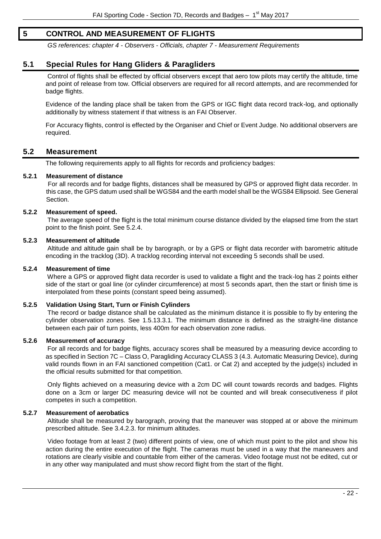# <span id="page-21-0"></span>**5 CONTROL AND MEASUREMENT OF FLIGHTS**

*GS references: chapter 4 - Observers - Officials, chapter 7 - Measurement Requirements*

# <span id="page-21-1"></span>**5.1 Special Rules for Hang Gliders & Paragliders**

Control of flights shall be effected by official observers except that aero tow pilots may certify the altitude, time and point of release from tow. Official observers are required for all record attempts, and are recommended for badge flights.

Evidence of the landing place shall be taken from the GPS or IGC flight data record track-log, and optionally additionally by witness statement if that witness is an FAI Observer.

For Accuracy flights, control is effected by the Organiser and Chief or Event Judge. No additional observers are required.

# <span id="page-21-2"></span>**5.2 Measurement**

The following requirements apply to all flights for records and proficiency badges:

#### <span id="page-21-3"></span>**5.2.1 Measurement of distance**

For all records and for badge flights, distances shall be measured by GPS or approved flight data recorder. In this case, the GPS datum used shall be WGS84 and the earth model shall be the WGS84 Ellipsoid. See General Section.

#### <span id="page-21-4"></span>**5.2.2 Measurement of speed.**

The average speed of the flight is the total minimum course distance divided by the elapsed time from the start point to the finish point. See 5.2.4.

#### <span id="page-21-5"></span>**5.2.3 Measurement of altitude**

Altitude and altitude gain shall be by barograph, or by a GPS or flight data recorder with barometric altitude encoding in the tracklog (3D). A tracklog recording interval not exceeding 5 seconds shall be used.

#### <span id="page-21-6"></span>**5.2.4 Measurement of time**

Where a GPS or approved flight data recorder is used to validate a flight and the track-log has 2 points either side of the start or goal line (or cylinder circumference) at most 5 seconds apart, then the start or finish time is interpolated from these points (constant speed being assumed).

# <span id="page-21-7"></span>**5.2.5 Validation Using Start, Turn or Finish Cylinders**

The record or badge distance shall be calculated as the minimum distance it is possible to fly by entering the cylinder observation zones. See 1.5.13.3.1. The minimum distance is defined as the straight-line distance between each pair of turn points, less 400m for each observation zone radius.

# <span id="page-21-8"></span>**5.2.6 Measurement of accuracy**

For all records and for badge flights, accuracy scores shall be measured by a measuring device according to as specified in Section 7C – Class O, Paragliding Accuracy CLASS 3 (4.3. Automatic Measuring Device), during valid rounds flown in an FAI sanctioned competition (Cat1. or Cat 2) and accepted by the judge(s) included in the official results submitted for that competition.

Only flights achieved on a measuring device with a 2cm DC will count towards records and badges. Flights done on a 3cm or larger DC measuring device will not be counted and will break consecutiveness if pilot competes in such a competition.

#### <span id="page-21-9"></span>**5.2.7 Measurement of aerobatics**

Altitude shall be measured by barograph, proving that the maneuver was stopped at or above the minimum prescribed altitude. See 3.4.2.3. for minimum altitudes.

Video footage from at least 2 (two) different points of view, one of which must point to the pilot and show his action during the entire execution of the flight. The cameras must be used in a way that the maneuvers and rotations are clearly visible and countable from either of the cameras. Video footage must not be edited, cut or in any other way manipulated and must show record flight from the start of the flight.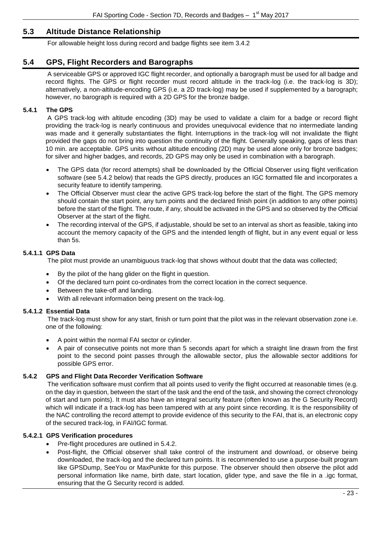# <span id="page-22-0"></span>**5.3 Altitude Distance Relationship**

For allowable height loss during record and badge flights see item 3.4.2

# <span id="page-22-1"></span>**5.4 GPS, Flight Recorders and Barographs**

A serviceable GPS or approved IGC flight recorder, and optionally a barograph must be used for all badge and record flights. The GPS or flight recorder must record altitude in the track-log (i.e. the track-log is 3D); alternatively, a non-altitude-encoding GPS (i.e. a 2D track-log) may be used if supplemented by a barograph; however, no barograph is required with a 2D GPS for the bronze badge.

# <span id="page-22-2"></span>**5.4.1 The GPS**

A GPS track-log with altitude encoding (3D) may be used to validate a claim for a badge or record flight providing the track-log is nearly continuous and provides unequivocal evidence that no intermediate landing was made and it generally substantiates the flight. Interruptions in the track-log will not invalidate the flight provided the gaps do not bring into question the continuity of the flight. Generally speaking, gaps of less than 10 min. are acceptable. GPS units without altitude encoding (2D) may be used alone only for bronze badges; for silver and higher badges, and records, 2D GPS may only be used in combination with a barograph.

- The GPS data (for record attempts) shall be downloaded by the Official Observer using flight verification software (see 5.4.2 below) that reads the GPS directly, produces an IGC formatted file and incorporates a security feature to identify tampering.
- The Official Observer must clear the active GPS track-log before the start of the flight. The GPS memory should contain the start point, any turn points and the declared finish point (in addition to any other points) before the start of the flight. The route, if any, should be activated in the GPS and so observed by the Official Observer at the start of the flight.
- The recording interval of the GPS, if adjustable, should be set to an interval as short as feasible, taking into account the memory capacity of the GPS and the intended length of flight, but in any event equal or less than 5s.

# <span id="page-22-3"></span>**5.4.1.1 GPS Data**

The pilot must provide an unambiguous track-log that shows without doubt that the data was collected;

- By the pilot of the hang glider on the flight in question.
- Of the declared turn point co-ordinates from the correct location in the correct sequence.
- Between the take-off and landing.
- With all relevant information being present on the track-log.

# <span id="page-22-4"></span>**5.4.1.2 Essential Data**

The track-log must show for any start, finish or turn point that the pilot was in the relevant observation zone i.e. one of the following:

- A point within the normal FAI sector or cylinder.
- A pair of consecutive points not more than 5 seconds apart for which a straight line drawn from the first point to the second point passes through the allowable sector, plus the allowable sector additions for possible GPS error.

# <span id="page-22-5"></span>**5.4.2 GPS and Flight Data Recorder Verification Software**

The verification software must confirm that all points used to verify the flight occurred at reasonable times (e.g. on the day in question, between the start of the task and the end of the task, and showing the correct chronology of start and turn points). It must also have an integral security feature (often known as the G Security Record) which will indicate if a track-log has been tampered with at any point since recording. It is the responsibility of the NAC controlling the record attempt to provide evidence of this security to the FAI, that is, an electronic copy of the secured track-log, in FAI/IGC format.

# <span id="page-22-6"></span>**5.4.2.1 GPS Verification procedures**

- Pre-flight procedures are outlined in 5.4.2.
- Post-flight, the Official observer shall take control of the instrument and download, or observe being downloaded, the track-log and the declared turn points. It is recommended to use a purpose-built program like GPSDump, SeeYou or MaxPunkte for this purpose. The observer should then observe the pilot add personal information like name, birth date, start location, glider type, and save the file in a .igc format, ensuring that the G Security record is added.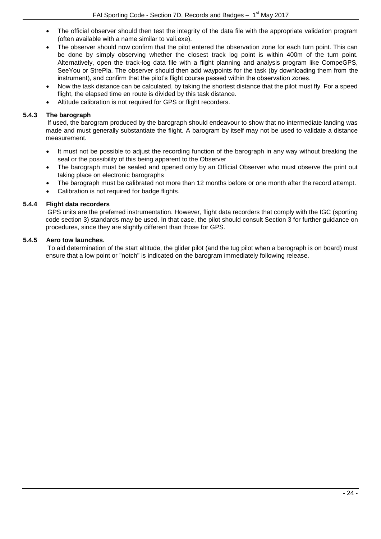- The official observer should then test the integrity of the data file with the appropriate validation program (often available with a name similar to vali.exe).
- The observer should now confirm that the pilot entered the observation zone for each turn point. This can be done by simply observing whether the closest track log point is within 400m of the turn point. Alternatively, open the track-log data file with a flight planning and analysis program like CompeGPS, SeeYou or StrePla. The observer should then add waypoints for the task (by downloading them from the instrument), and confirm that the pilot's flight course passed within the observation zones.
- Now the task distance can be calculated, by taking the shortest distance that the pilot must fly. For a speed flight, the elapsed time en route is divided by this task distance.
- Altitude calibration is not required for GPS or flight recorders.

# <span id="page-23-0"></span>**5.4.3 The barograph**

If used, the barogram produced by the barograph should endeavour to show that no intermediate landing was made and must generally substantiate the flight. A barogram by itself may not be used to validate a distance measurement.

- It must not be possible to adjust the recording function of the barograph in any way without breaking the seal or the possibility of this being apparent to the Observer
- The barograph must be sealed and opened only by an Official Observer who must observe the print out taking place on electronic barographs
- The barograph must be calibrated not more than 12 months before or one month after the record attempt.
- Calibration is not required for badge flights.

# <span id="page-23-1"></span>**5.4.4 Flight data recorders**

GPS units are the preferred instrumentation. However, flight data recorders that comply with the IGC (sporting code section 3) standards may be used. In that case, the pilot should consult Section 3 for further guidance on procedures, since they are slightly different than those for GPS.

# <span id="page-23-2"></span>**5.4.5 Aero tow launches.**

To aid determination of the start altitude, the glider pilot (and the tug pilot when a barograph is on board) must ensure that a low point or "notch" is indicated on the barogram immediately following release.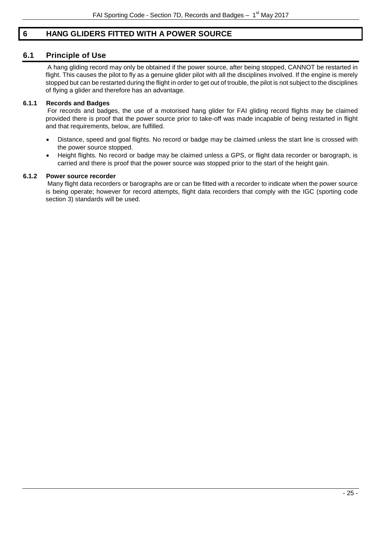# <span id="page-24-0"></span>**6 HANG GLIDERS FITTED WITH A POWER SOURCE**

# <span id="page-24-1"></span>**6.1 Principle of Use**

A hang gliding record may only be obtained if the power source, after being stopped, CANNOT be restarted in flight. This causes the pilot to fly as a genuine glider pilot with all the disciplines involved. If the engine is merely stopped but can be restarted during the flight in order to get out of trouble, the pilot is not subject to the disciplines of flying a glider and therefore has an advantage.

# <span id="page-24-2"></span>**6.1.1 Records and Badges**

For records and badges, the use of a motorised hang glider for FAI gliding record flights may be claimed provided there is proof that the power source prior to take-off was made incapable of being restarted in flight and that requirements, below, are fulfilled.

- Distance, speed and goal flights. No record or badge may be claimed unless the start line is crossed with the power source stopped.
- Height flights. No record or badge may be claimed unless a GPS, or flight data recorder or barograph, is carried and there is proof that the power source was stopped prior to the start of the height gain.

# <span id="page-24-3"></span>**6.1.2 Power source recorder**

Many flight data recorders or barographs are or can be fitted with a recorder to indicate when the power source is being operate; however for record attempts, flight data recorders that comply with the IGC (sporting code section 3) standards will be used.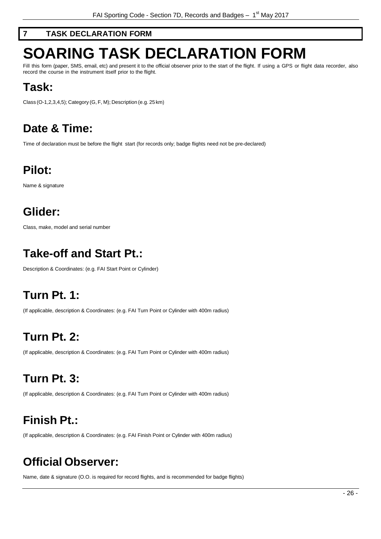# <span id="page-25-0"></span>**7 TASK DECLARATION FORM**

# <span id="page-25-1"></span>**SOARING TASK DECLARATION FORM**

Fill this form (paper, SMS, email, etc) and present it to the official observer prior to the start of the flight. If using a GPS or flight data recorder, also record the course in the instrument itself prior to the flight.

# **Task:**

Class (O-1,2,3,4,5); Category (G, F, M); Description (e.g. 25 km)

# **Date & Time:**

Time of declaration must be before the flight start (for records only; badge flights need not be pre-declared)

# **Pilot:**

Name & signature

# **Glider:**

Class, make, model and serial number

# **Take-off and Start Pt.:**

Description & Coordinates: (e.g. FAI Start Point or Cylinder)

# **Turn Pt. 1:**

(If applicable, description & Coordinates: (e.g. FAI Turn Point or Cylinder with 400m radius)

# **Turn Pt. 2:**

(If applicable, description & Coordinates: (e.g. FAI Turn Point or Cylinder with 400m radius)

# **Turn Pt. 3:**

(If applicable, description & Coordinates: (e.g. FAI Turn Point or Cylinder with 400m radius)

# **Finish Pt.:**

(If applicable, description & Coordinates: (e.g. FAI Finish Point or Cylinder with 400m radius)

# **Official Observer:**

Name, date & signature (O.O. is required for record flights, and is recommended for badge flights)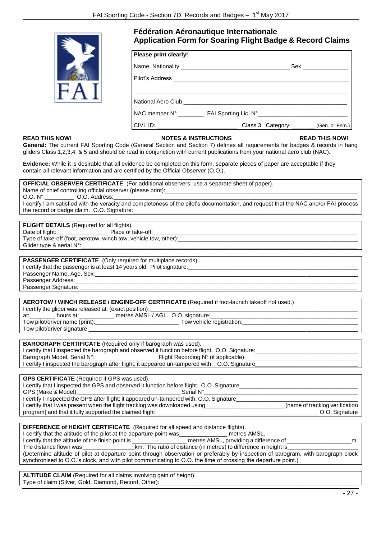

# **Fédération Aéronautique Internationale Application Form for Soaring Flight Badge & Record Claims**

| Please print clearly! |                                                                                      |  |
|-----------------------|--------------------------------------------------------------------------------------|--|
|                       |                                                                                      |  |
|                       |                                                                                      |  |
|                       |                                                                                      |  |
|                       | National Aero Club National Aero Club                                                |  |
|                       | NAC member N° __________ FAI Sporting Lic. N° __________________________________     |  |
|                       | CIVL ID: __________________________________Class 3 Category: ________ (Gen. or Fem.) |  |

#### **READ THIS NOW! NOTES & INSTRUCTIONS READ THIS NOW!**

**General:** The current FAI Sporting Code (General Section and Section 7) defines all requirements for badges & records in hang gliders Class 1,2,3,4, & 5 and should be read in conjunction with current publications from your national aero club (NAC).

**Evidence:** While it is desirable that all evidence be completed on this form, separate pieces of paper are acceptable if they contain all relevant information and are certified by the Official Observer (O.O.).

| <b>OFFICIAL OBSERVER CERTIFICATE</b> (For additional observers, use a separate sheet of paper).                                       |
|---------------------------------------------------------------------------------------------------------------------------------------|
| Name of chief controlling official observer (please print):                                                                           |
| O.O. N°: C.O. Address:                                                                                                                |
| I certify I am satisfied with the veracity and completeness of the pilot's documentation, and request that the NAC and/or FAI process |
| the record or badge claim. O.O. Signature:                                                                                            |

**FLIGHT DETAILS** (Required for all flights). Date of flight:<br>  $\Box$  Place of take-off: Type of take-off (foot, aerotow, winch tow, vehicle tow, other): Glider type & serial N°:

**PASSENGER CERTIFICATE** (Only required for multiplace records). I certify that the passenger is at least 14 years old. Pilot signature: Passenger Name, Age, Sex:

Passenger Address: Passenger Signature:

**AEROTOW / WINCH RELEASE / ENGINE-OFF CERTIFICATE** (Required if foot-launch takeoff not used.)

| I certify the glider was released at: (exact position): |                                    |
|---------------------------------------------------------|------------------------------------|
| at:<br>hours at:                                        | metres AMSL / AGL. O.O. signature: |
| Tow pilot/driver name (print):                          | Tow vehicle registration:          |
| Tow pilot/driver signature:                             |                                    |

| <b>BAROGRAPH CERTIFICATE</b> (Required only if barograph was used).                               |                                               |
|---------------------------------------------------------------------------------------------------|-----------------------------------------------|
| I certify that I inspected the barograph and observed it function before flight. O.O. Signature:  |                                               |
| Barograph Model, Serial N°:                                                                       | Flight Recording $N^{\circ}$ (if applicable): |
| I certify I inspected the barograph after flight; it appeared un-tampered with. . O.O. Signature_ |                                               |
|                                                                                                   |                                               |

**GPS CERTIFICATE** (Required if GPS was used). I certify that I inspected the GPS and observed it function before flight. O.O. Signature GPS (Make & Model): The Serial N° I certify I inspected the GPS after flight; it appeared un-tampered with. O.O. Signature I certify that I was present when the flight tracklog was downloaded using\_\_\_\_\_\_\_\_\_\_\_\_\_\_\_\_\_\_\_\_\_\_\_\_\_(name of tracklog verification program) and that it fully supported the claimed flight

**DIFFERENCE of HEIGHT CERTIFICATE** (Required for all speed and distance flights). I certify that the altitude of the pilot at the departure point was\_\_\_\_\_\_\_\_\_\_\_\_\_\_ metres AMSL. I certify that the altitude of the finish point is \_\_\_\_\_\_\_\_\_\_\_\_\_\_\_\_\_ metres AMSL, providing a difference of \_\_\_\_\_\_\_\_\_\_\_\_\_\_\_\_\_\_\_\_m. The distance flown was \_\_\_\_\_\_\_\_\_\_\_\_\_\_\_\_km. The ratio of distance (in metres) to difference in height is\_\_\_\_\_\_\_\_\_\_\_\_\_\_\_\_\_\_\_\_\_\_ (Determine altitude of pilot at departure point through observation or preferably by inspection of barogram, with barograph clock synchronised to O.O.'s clock, and with pilot communicating to O.O. the time of crossing the departure point.).

**ALTITUDE CLAIM** (Required for all claims involving gain of height). Type of claim (Silver, Gold, Diamond, Record, Other):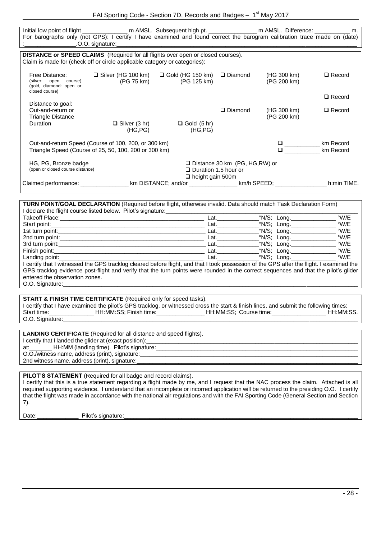| FAI Sporting Code - Section 7D, Records and Badges - 1 <sup>st</sup> May 2017 |  |  |
|-------------------------------------------------------------------------------|--|--|
|-------------------------------------------------------------------------------|--|--|

Initial low point of flight \_\_\_\_\_\_\_\_\_\_\_\_\_\_\_\_ m AMSL. Subsequent high pt. \_\_\_\_\_\_\_\_\_\_\_\_\_\_\_\_\_ m AMSL. Difference: \_\_\_\_\_\_\_\_\_\_\_\_\_\_ m. For barographs only (not GPS): I certify I have examined and found correct the barogram calibration trace made on (date)

|                                                                                                                                                                       | .O.O. signature:                                                                                              |                                                        |                                  |                            |                        |
|-----------------------------------------------------------------------------------------------------------------------------------------------------------------------|---------------------------------------------------------------------------------------------------------------|--------------------------------------------------------|----------------------------------|----------------------------|------------------------|
| <b>DISTANCE or SPEED CLAIMS</b> (Required for all flights over open or closed courses).<br>Claim is made for (check off or circle applicable category or categories): |                                                                                                               |                                                        |                                  |                            |                        |
| Free Distance:<br>(silver: open<br>course)<br>(gold, diamond: open or<br>closed course)                                                                               | $\Box$ Silver (HG 100 km)<br>(PG 75 km)                                                                       | $\Box$ Gold (HG 150 km)<br>(PG 125 km)                 | $\Box$ Diamond                   | (HG 300 km)<br>(PG 200 km) | $\Box$ Record          |
|                                                                                                                                                                       |                                                                                                               |                                                        |                                  |                            | $\Box$ Record          |
| Distance to goal:<br>Out-and-return or<br><b>Triangle Distance</b><br><b>Duration</b>                                                                                 | $\Box$ Silver (3 hr)<br>(HG, PG)                                                                              | $\Box$ Gold (5 hr)<br>(HG, PG)                         | $\Box$ Diamond                   | (HG 300 km)<br>(PG 200 km) | $\Box$ Record          |
|                                                                                                                                                                       | Out-and-return Speed (Course of 100, 200, or 300 km)<br>Triangle Speed (Course of 25, 50, 100, 200 or 300 km) |                                                        |                                  | n.                         | km Record<br>km Record |
| HG, PG, Bronze badge<br>(open or closed course distance)                                                                                                              |                                                                                                               | $\Box$ Duration 1.5 hour or<br>$\Box$ height gain 500m | □ Distance 30 km (PG, HG, RW) or |                            |                        |
| Claimed performance: _________                                                                                                                                        |                                                                                                               | km DISTANCE; and/or https://www.htm/html               |                                  |                            | h:min TIME.            |

| <b>TURN POINT/GOAL DECLARATION</b> (Required before flight, otherwise invalid. Data should match Task Declaration Form)                   |      |             |      |
|-------------------------------------------------------------------------------------------------------------------------------------------|------|-------------|------|
| I declare the flight course listed below. Pilot's signature:                                                                              |      |             |      |
| Takeoff Place:                                                                                                                            | _at. | °N/S; Long. | °W/E |
| Start point:                                                                                                                              | _at. | °N/S: Lona. | °W/E |
| 1st turn point:                                                                                                                           | _at. | °N/S: Lona. | °W/E |
| 2nd turn point:                                                                                                                           | ∟at. | °N/S; Long. | °W/E |
| 3rd turn point:                                                                                                                           | _at. | °N/S; Long. | °W/E |
| Finish point:                                                                                                                             | _at. | °N/S: Long. | °W/E |
| Landing point:                                                                                                                            | Lat. | °N/S: Lona. | °W/E |
| I certify that I witnessed the GPS tracklog cleared before flight, and that I took possession of the GPS after the flight. I examined the |      |             |      |
| GPS tracklog evidence post-flight and verify that the turn points were rounded in the correct sequences and that the pilot's glider       |      |             |      |
| entered the observation zones.                                                                                                            |      |             |      |
| O.O. Signature:                                                                                                                           |      |             |      |
|                                                                                                                                           |      |             |      |
| <b>START &amp; FINISH TIME CERTIFICATE</b> (Required only for speed tasks).                                                               |      |             |      |

I certify that I have examined the pilot's GPS tracklog, or witnessed cross the start & finish lines, and submit the following times: Start time: \_\_\_\_\_\_\_\_\_\_\_\_\_\_\_\_ HH:MM:SS; Finish time: \_\_\_\_\_\_\_\_\_\_\_\_\_\_\_\_\_ HH:MM:SS; Course time: \_\_\_\_\_\_\_\_\_\_\_\_\_\_\_\_ HH:MM:SS. O.O. Signature:

| <b>LANDING CERTIFICATE</b> (Required for all distance and speed flights). |
|---------------------------------------------------------------------------|
| I certify that I landed the glider at (exact position):                   |
| at: HH:MM (landing time). Pilot's signature:                              |
| O.O./witness name, address (print), signature:                            |
| 2nd witness name, address (print), signature:                             |
|                                                                           |

#### **PILOT'S STATEMENT** (Required for all badge and record claims).

I certify that this is a true statement regarding a flight made by me, and I request that the NAC process the claim. Attached is all required supporting evidence. I understand that an incomplete or incorrect application will be returned to the presiding O.O. I certify that the flight was made in accordance with the national air regulations and with the FAI Sporting Code (General Section and Section 7).

Date:\_\_\_\_\_\_\_\_\_\_\_\_\_ Pilot's signature:\_\_\_\_\_\_\_\_\_\_\_\_\_\_\_\_\_\_\_\_\_\_\_\_\_\_\_\_\_\_\_\_\_\_\_\_\_\_\_\_\_\_\_\_\_\_\_\_\_\_\_\_\_\_\_\_\_\_\_\_\_\_\_\_\_\_\_\_\_\_\_\_\_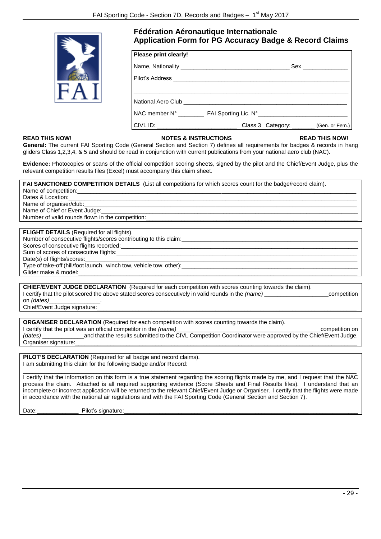

# **Fédération Aéronautique Internationale Application Form for PG Accuracy Badge & Record Claims**

| Please print clearly! |                                                                                  |  |
|-----------------------|----------------------------------------------------------------------------------|--|
|                       |                                                                                  |  |
|                       |                                                                                  |  |
|                       |                                                                                  |  |
|                       |                                                                                  |  |
|                       | NAC member N° ____________ FAI Sporting Lic. N° ________________________________ |  |
|                       |                                                                                  |  |

#### **READ THIS NOW! NOTES & INSTRUCTIONS READ THIS NOW!**

General: The current FAI Sporting Code (General Section and Section 7) defines all requirements for badges & records in hang gliders Class 1,2,3,4, & 5 and should be read in conjunction with current publications from your national aero club (NAC).

**Evidence:** Photocopies or scans of the official competition scoring sheets, signed by the pilot and the Chief/Event Judge, plus the relevant competition results files (Excel) must accompany this claim sheet.

| FAI SANCTIONED COMPETITION DETAILS (List all competitions for which scores count for the badge/record claim). |
|---------------------------------------------------------------------------------------------------------------|
|                                                                                                               |
| Dates & Location: <b>Example 20</b>                                                                           |
| Name of organiser/club: Name of organiser/club:                                                               |
| Name of Chief or Event Judge:                                                                                 |
| Number of valid rounds flown in the competition:                                                              |
|                                                                                                               |
| <b>FLIGHT DETAILS</b> (Required for all flights).                                                             |
| Number of consecutive flights/scores contributing to this claim:                                              |

Scores of consecutive flights recorded: Sum of scores of consecutive flights: Date(s) of flights/scores: Type of take-off (hill/foot launch, winch tow, vehicle tow, other): Glider make & model:

**CHIEF/EVENT JUDGE DECLARATION** (Required for each competition with scores counting towards the claim). I certify that the pilot scored the above stated scores consecutively in valid rounds in the *(name)* \_\_\_\_\_\_\_\_\_\_\_\_\_\_\_\_\_\_\_\_competition on *(dates)* 

Chief/Event Judge signature:

**ORGANISER DECLARATION** (Required for each competition with scores counting towards the claim). I certify that the pilot was an official competitor in the *(name)*\_\_\_\_\_\_\_\_\_\_\_\_\_\_\_\_\_\_\_\_\_\_\_\_\_\_\_\_\_\_\_\_\_\_\_\_\_\_\_\_\_\_\_\_\_competition on

*(dates)* \_\_\_\_\_\_\_\_\_\_\_\_\_and that the results submitted to the CIVL Competition Coordinator were approved by the Chief/Event Judge. Organiser signature:

**PILOT'S DECLARATION** (Required for all badge and record claims). I am submitting this claim for the following Badge and/or Record:

\_\_\_\_\_\_\_\_\_\_\_\_\_\_\_\_\_\_\_\_\_\_\_\_\_\_\_\_\_\_\_\_\_\_\_\_\_\_\_\_\_\_\_\_\_\_\_\_\_\_\_\_\_\_\_\_\_\_\_\_\_\_\_\_\_\_\_\_\_\_\_\_\_\_\_\_\_\_\_\_\_\_\_\_\_\_\_\_\_\_\_\_\_\_\_\_\_\_\_\_\_\_\_\_ I certify that the information on this form is a true statement regarding the scoring flights made by me, and I request that the NAC process the claim. Attached is all required supporting evidence (Score Sheets and Final Results files). I understand that an incomplete or incorrect application will be returned to the relevant Chief/Event Judge or Organiser. I certify that the flights were made in accordance with the national air regulations and with the FAI Sporting Code (General Section and Section 7).

Date:\_\_\_\_\_\_\_\_\_\_\_\_\_ Pilot's signature:\_\_\_\_\_\_\_\_\_\_\_\_\_\_\_\_\_\_\_\_\_\_\_\_\_\_\_\_\_\_\_\_\_\_\_\_\_\_\_\_\_\_\_\_\_\_\_\_\_\_\_\_\_\_\_\_\_\_\_\_\_\_\_\_\_\_\_\_\_\_\_\_\_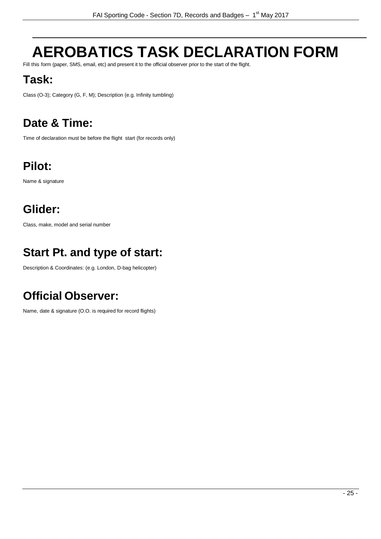# <span id="page-29-0"></span>**AEROBATICS TASK DECLARATION FORM**

Fill this form (paper, SMS, email, etc) and present it to the official observer prior to the start of the flight.

# **Task:**

Class (O-3); Category (G, F, M); Description (e.g. Infinity tumbling)

# **Date & Time:**

Time of declaration must be before the flight start (for records only)

# **Pilot:**

Name & signature

# **Glider:**

Class, make, model and serial number

# **Start Pt. and type of start:**

Description & Coordinates: (e.g. London, D-bag helicopter)

# **Official Observer:**

Name, date & signature (O.O. is required for record flights)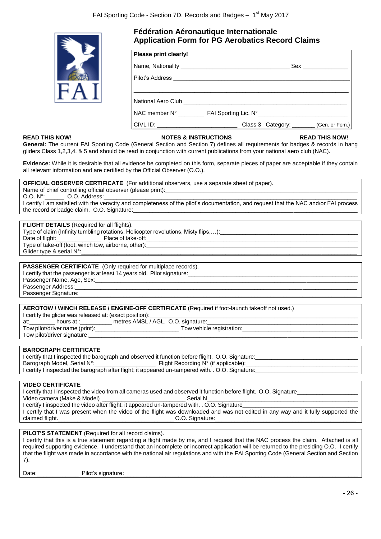

# **Fédération Aéronautique Internationale Application Form for PG Aerobatics Record Claims**

| Please print clearly! |                                                                                                                                                                                                                               |
|-----------------------|-------------------------------------------------------------------------------------------------------------------------------------------------------------------------------------------------------------------------------|
|                       |                                                                                                                                                                                                                               |
|                       |                                                                                                                                                                                                                               |
|                       | National Aero Club and the control of the control of the control of the control of the control of the control of the control of the control of the control of the control of the control of the control of the control of the |
|                       | NAC member N° ____________ FAI Sporting Lic. N° _________________________________                                                                                                                                             |
|                       |                                                                                                                                                                                                                               |

#### **READ THIS NOW! NOTES & INSTRUCTIONS READ THIS NOW!**

General: The current FAI Sporting Code (General Section and Section 7) defines all requirements for badges & records in hang gliders Class 1,2,3,4, & 5 and should be read in conjunction with current publications from your national aero club (NAC).

**Evidence:** While it is desirable that all evidence be completed on this form, separate pieces of paper are acceptable if they contain all relevant information and are certified by the Official Observer (O.O.).

**OFFICIAL OBSERVER CERTIFICATE** (For additional observers, use a separate sheet of paper).

Name of chief controlling official observer (please print):<br>O.O. N°: 0.O. Address: O.O. Address:

I certify I am satisfied with the veracity and completeness of the pilot's documentation, and request that the NAC and/or FAI process the record or badge claim. O.O. Signature:

#### **FLIGHT DETAILS** (Required for all flights).

Type of claim (Infinity tumbling rotations, Helicopter revolutions, Misty flips,...):

Date of flight:\_\_\_\_\_\_\_\_\_\_\_\_\_\_ Place of take-off:\_\_\_\_\_\_\_\_\_\_\_\_\_\_\_\_\_\_\_\_\_\_\_\_\_\_\_\_\_\_\_\_\_\_\_\_\_\_\_\_\_\_\_\_\_\_\_\_\_\_\_\_\_\_\_\_\_\_\_\_\_\_\_\_\_\_ Type of take-off (foot, winch tow, airborne, other):

Glider type & serial N°:

## **PASSENGER CERTIFICATE** (Only required for multiplace records).

I certify that the passenger is at least 14 years old. Pilot signature: Passenger Name, Age, Sex:

Passenger Address: Passenger Signature:

**AEROTOW / WINCH RELEASE / ENGINE-OFF CERTIFICATE** (Required if foot-launch takeoff not used.)

| I certify the glider was released at: (exact position): |                                    |  |
|---------------------------------------------------------|------------------------------------|--|
| at:<br>hours at                                         | metres AMSL / AGL. O.O. signature: |  |
| Tow pilot/driver name (print):                          | Tow vehicle reaistration:          |  |

Tow pilot/driver signature:

**BAROGRAPH CERTIFICATE**

| I certify that I inspected the barograph and observed it function before flight. O.O. Signature:  |                                      |
|---------------------------------------------------------------------------------------------------|--------------------------------------|
| Barograph Model, Serial N°:                                                                       | Flight Recording N° (if applicable): |
| I certify I inspected the barograph after flight; it appeared un-tampered with. . O.O. Signature: |                                      |
|                                                                                                   |                                      |

#### **VIDEO CERTIFICATE**

I certify that I inspected the video from all cameras used and observed it function before flight. O.O. Signature

Video camera (Make & Model) \_ \_ \_ \_ \_ \_ \_ \_ \_ \_ \_ \_ \_ \_ \_ Serial N I certify I inspected the video after flight; it appeared un-tampered with. . O.O. Signature\_ I certify that I was present when the video of the flight was downloaded and was not edited in any way and it fully supported the claimed flight.\_\_\_\_\_\_\_\_\_\_\_\_\_\_\_\_\_\_\_\_\_\_\_\_\_\_\_\_\_\_\_\_\_\_\_\_ O.O. Signature:\_\_\_\_\_\_\_\_\_\_\_\_\_\_\_\_\_\_\_\_\_\_\_\_\_\_\_\_\_\_\_\_\_\_\_\_\_\_\_\_\_\_\_\_

#### **PILOT'S STATEMENT** (Required for all record claims).

I certify that this is a true statement regarding a flight made by me, and I request that the NAC process the claim. Attached is all required supporting evidence. I understand that an incomplete or incorrect application will be returned to the presiding O.O. I certify that the flight was made in accordance with the national air regulations and with the FAI Sporting Code (General Section and Section 7).

Date: Pilot's signature: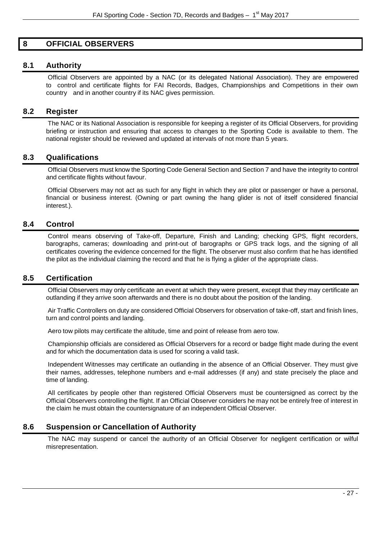# <span id="page-31-0"></span>**8 OFFICIAL OBSERVERS**

# <span id="page-31-1"></span>**8.1 Authority**

Official Observers are appointed by a NAC (or its delegated National Association). They are empowered to control and certificate flights for FAI Records, Badges, Championships and Competitions in their own country and in another country if its NAC gives permission.

# <span id="page-31-2"></span>**8.2 Register**

The NAC or its National Association is responsible for keeping a register of its Official Observers, for providing briefing or instruction and ensuring that access to changes to the Sporting Code is available to them. The national register should be reviewed and updated at intervals of not more than 5 years.

# <span id="page-31-3"></span>**8.3 Qualifications**

Official Observers must know the Sporting Code General Section and Section 7 and have the integrity to control and certificate flights without favour.

Official Observers may not act as such for any flight in which they are pilot or passenger or have a personal, financial or business interest. (Owning or part owning the hang glider is not of itself considered financial interest.).

# <span id="page-31-4"></span>**8.4 Control**

Control means observing of Take-off, Departure, Finish and Landing; checking GPS, flight recorders, barographs, cameras; downloading and print-out of barographs or GPS track logs, and the signing of all certificates covering the evidence concerned for the flight. The observer must also confirm that he has identified the pilot as the individual claiming the record and that he is flying a glider of the appropriate class.

# <span id="page-31-5"></span>**8.5 Certification**

Official Observers may only certificate an event at which they were present, except that they may certificate an outlanding if they arrive soon afterwards and there is no doubt about the position of the landing.

Air Traffic Controllers on duty are considered Official Observers for observation of take-off, start and finish lines, turn and control points and landing.

Aero tow pilots may certificate the altitude, time and point of release from aero tow.

Championship officials are considered as Official Observers for a record or badge flight made during the event and for which the documentation data is used for scoring a valid task.

Independent Witnesses may certificate an outlanding in the absence of an Official Observer. They must give their names, addresses, telephone numbers and e-mail addresses (if any) and state precisely the place and time of landing.

All certificates by people other than registered Official Observers must be countersigned as correct by the Official Observers controlling the flight. If an Official Observer considers he may not be entirely free of interest in the claim he must obtain the countersignature of an independent Official Observer.

# <span id="page-31-6"></span>**8.6 Suspension or Cancellation of Authority**

The NAC may suspend or cancel the authority of an Official Observer for negligent certification or wilful misrepresentation.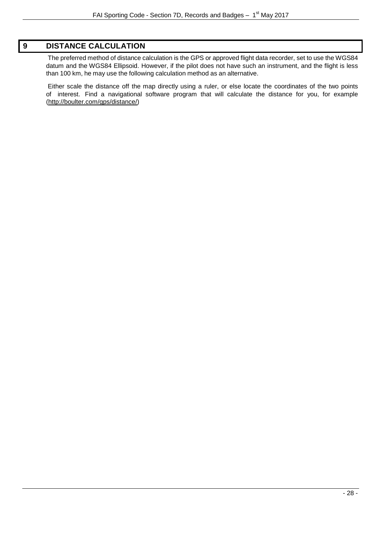# <span id="page-32-0"></span>**9 DISTANCE CALCULATION**

The preferred method of distance calculation is the GPS or approved flight data recorder, set to use the WGS84 datum and the WGS84 Ellipsoid. However, if the pilot does not have such an instrument, and the flight is less than 100 km, he may use the following calculation method as an alternative.

Either scale the distance off the map directly using a ruler, or else locate the coordinates of the two points of interest. Find a navigational software program that will calculate the distance for you, for example [\(http://boulter.com/gps/distance/\)](http://boulter.com/gps/distance/)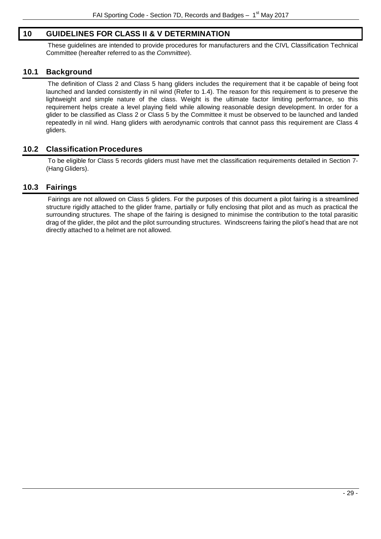# <span id="page-33-0"></span>**10 GUIDELINES FOR CLASS II & V DETERMINATION**

These guidelines are intended to provide procedures for manufacturers and the CIVL Classification Technical Committee (hereafter referred to as the *Committee*).

# <span id="page-33-1"></span>**10.1 Background**

The definition of Class 2 and Class 5 hang gliders includes the requirement that it be capable of being foot launched and landed consistently in nil wind (Refer to 1.4). The reason for this requirement is to preserve the lightweight and simple nature of the class. Weight is the ultimate factor limiting performance, so this requirement helps create a level playing field while allowing reasonable design development. In order for a glider to be classified as Class 2 or Class 5 by the Committee it must be observed to be launched and landed repeatedly in nil wind. Hang gliders with aerodynamic controls that cannot pass this requirement are Class 4 gliders.

# <span id="page-33-2"></span>**10.2 Classification Procedures**

To be eligible for Class 5 records gliders must have met the classification requirements detailed in Section 7- (Hang Gliders).

# <span id="page-33-3"></span>**10.3 Fairings**

Fairings are not allowed on Class 5 gliders. For the purposes of this document a pilot fairing is a streamlined structure rigidly attached to the glider frame, partially or fully enclosing that pilot and as much as practical the surrounding structures. The shape of the fairing is designed to minimise the contribution to the total parasitic drag of the glider, the pilot and the pilot surrounding structures. Windscreens fairing the pilot's head that are not directly attached to a helmet are not allowed.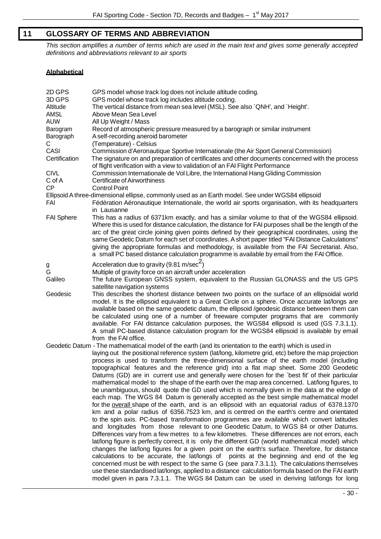# <span id="page-34-0"></span>**11 GLOSSARY OF TERMS AND ABBREVIATION**

*This section amplifies a number of terms which are used in the main text and gives some generally accepted definitions and abbreviations relevant to air sports*

# **Alphabetical**

| 2D GPS<br>3D GPS<br>Altitude<br>AMSL<br><b>AUW</b><br>Barogram<br>Barograph<br>C.<br>CASI<br>Certification<br><b>CIVL</b><br>C of A<br><b>CP</b> | GPS model whose track log does not include altitude coding.<br>GPS model whose track log includes altitude coding.<br>The vertical distance from mean sea level (MSL). See also `QNH', and `Height'.<br>Above Mean Sea Level<br>All Up Weight / Mass<br>Record of atmospheric pressure measured by a barograph or similar instrument<br>A self-recording aneroid barometer<br>(Temperature) - Celsius<br>Commission d'Aeronautique Sportive Internationale (the Air Sport General Commission)<br>The signature on and preparation of certificates and other documents concerned with the process<br>of flight verification with a view to validation of an FAI Flight Performance<br>Commission Internationale de Vol Libre, the International Hang Gliding Commission<br><b>Certificate of Airworthiness</b><br><b>Control Point</b><br>Ellipsoid A three-dimensional ellipse, commonly used as an Earth model. See under WGS84 ellipsoid                                                                                                                                                                                                                                                                                                                                                                                                                                                                                                                                                                                                                                                                                                                                                                                                                                                                                                                                                          |
|--------------------------------------------------------------------------------------------------------------------------------------------------|-----------------------------------------------------------------------------------------------------------------------------------------------------------------------------------------------------------------------------------------------------------------------------------------------------------------------------------------------------------------------------------------------------------------------------------------------------------------------------------------------------------------------------------------------------------------------------------------------------------------------------------------------------------------------------------------------------------------------------------------------------------------------------------------------------------------------------------------------------------------------------------------------------------------------------------------------------------------------------------------------------------------------------------------------------------------------------------------------------------------------------------------------------------------------------------------------------------------------------------------------------------------------------------------------------------------------------------------------------------------------------------------------------------------------------------------------------------------------------------------------------------------------------------------------------------------------------------------------------------------------------------------------------------------------------------------------------------------------------------------------------------------------------------------------------------------------------------------------------------------------------------------------------|
| FAI                                                                                                                                              | Fédération Aéronautique Internationale, the world air sports organisation, with its headquarters<br>in Lausanne                                                                                                                                                                                                                                                                                                                                                                                                                                                                                                                                                                                                                                                                                                                                                                                                                                                                                                                                                                                                                                                                                                                                                                                                                                                                                                                                                                                                                                                                                                                                                                                                                                                                                                                                                                                     |
| <b>FAI Sphere</b>                                                                                                                                | This has a radius of 6371km exactly, and has a similar volume to that of the WGS84 ellipsoid.<br>Where this is used for distance calculation, the distance for FAI purposes shall be the length of the<br>arc of the great circle joining given points defined by their geographical coordinates, using the<br>same Geodetic Datum for each set of coordinates. A short paper titled "FAI Distance Calculations"<br>giving the appropriate formulas and methodology, is available from the FAI Secretariat. Also,<br>a small PC based distance calculation programme is available by email from the FAI Office.                                                                                                                                                                                                                                                                                                                                                                                                                                                                                                                                                                                                                                                                                                                                                                                                                                                                                                                                                                                                                                                                                                                                                                                                                                                                                     |
| g<br>G                                                                                                                                           | Acceleration due to gravity (9.81 m/sec <sup>2</sup> )<br>Multiple of gravity force on an aircraft under acceleration                                                                                                                                                                                                                                                                                                                                                                                                                                                                                                                                                                                                                                                                                                                                                                                                                                                                                                                                                                                                                                                                                                                                                                                                                                                                                                                                                                                                                                                                                                                                                                                                                                                                                                                                                                               |
| Galileo                                                                                                                                          | The future European GNSS system, equivalent to the Russian GLONASS and the US GPS<br>satellite navigation systems                                                                                                                                                                                                                                                                                                                                                                                                                                                                                                                                                                                                                                                                                                                                                                                                                                                                                                                                                                                                                                                                                                                                                                                                                                                                                                                                                                                                                                                                                                                                                                                                                                                                                                                                                                                   |
| Geodesic                                                                                                                                         | This describes the shortest distance between two points on the surface of an ellipsoidal world<br>model. It is the ellipsoid equivalent to a Great Circle on a sphere. Once accurate lat/longs are<br>available based on the same geodetic datum, the ellipsoid /geodesic distance between them can<br>be calculated using one of a number of freeware computer programs that are commonly<br>available. For FAI distance calculation purposes, the WGS84 ellipsoid is used (GS 7.3.1.1).<br>A small PC-based distance calculation program for the WGS84 ellipsoid is available by email<br>from the FAI office.                                                                                                                                                                                                                                                                                                                                                                                                                                                                                                                                                                                                                                                                                                                                                                                                                                                                                                                                                                                                                                                                                                                                                                                                                                                                                    |
|                                                                                                                                                  | Geodetic Datum - The mathematical model of the earth (and its orientation to the earth) which is used in<br>laying out the positional reference system (lat/long, kilometre grid, etc) before the map projection<br>process is used to transform the three-dimensional surface of the earth model (including<br>topographical features and the reference grid) into a flat map sheet. Some 200 Geodetic<br>Datums (GD) are in current use and generally were chosen for the `best fit' of their particular<br>mathematical model to the shape of the earth over the map area concerned. Lat/long figures, to<br>be unambiguous, should quote the GD used which is normally given in the data at the edge of<br>each map. The WGS 84 Datum is generally accepted as the best simple mathematical model<br>for the overall shape of the earth, and is an ellipsoid with an equatorial radius of 6378.1370<br>km and a polar radius of 6356.7523 km, and is centred on the earth's centre and orientated<br>to the spin axis. PC-based transformation programmes are available which convert latitudes<br>and longitudes from those relevant to one Geodetic Datum, to WGS 84 or other Datums.<br>Differences vary from a few metres to a few kilometres. These differences are not errors, each<br>lat/long figure is perfectly correct, it is only the different GD (world mathematical model) which<br>changes the lat/long figures for a given point on the earth's surface. Therefore, for distance<br>calculations to be accurate, the lat/longs of points at the beginning and end of the leg<br>concerned must be with respect to the same G (see para 7.3.1.1). The calculations themselves<br>use these standardised lat/longs, applied to a distance calculation formula based on the FAI earth<br>model given in para 7.3.1.1. The WGS 84 Datum can be used in deriving lat/longs for long |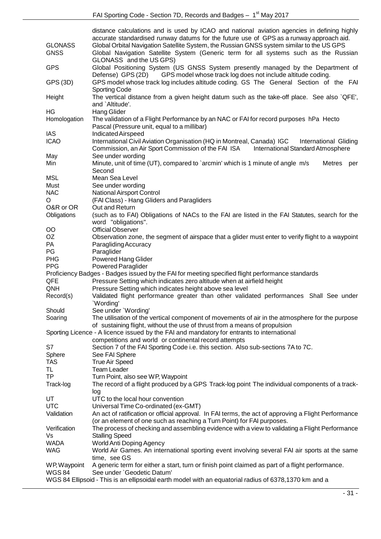| <b>GLONASS</b><br><b>GNSS</b>                                                                                                                                            | distance calculations and is used by ICAO and national aviation agencies in defining highly<br>accurate standardised runway datums for the future use of GPS as a runway approach aid.<br>Global Orbital Navigation Satellite System, the Russian GNSS system similar to the US GPS<br>Global Navigation Satellite System (Generic term for all systems such as the Russian |  |  |  |
|--------------------------------------------------------------------------------------------------------------------------------------------------------------------------|-----------------------------------------------------------------------------------------------------------------------------------------------------------------------------------------------------------------------------------------------------------------------------------------------------------------------------------------------------------------------------|--|--|--|
|                                                                                                                                                                          | GLONASS and the US GPS)                                                                                                                                                                                                                                                                                                                                                     |  |  |  |
| <b>GPS</b>                                                                                                                                                               | Global Positioning System (US GNSS System presently managed by the Department of<br>Defense) GPS (2D)<br>GPS model whose track log does not include altitude coding.                                                                                                                                                                                                        |  |  |  |
| GPS (3D)                                                                                                                                                                 | GPS model whose track log includes altitude coding. GS The General Section of the FAI<br><b>Sporting Code</b>                                                                                                                                                                                                                                                               |  |  |  |
| Height                                                                                                                                                                   | The vertical distance from a given height datum such as the take-off place. See also `QFE',<br>and `Altitude'.                                                                                                                                                                                                                                                              |  |  |  |
| HG                                                                                                                                                                       | <b>Hang Glider</b>                                                                                                                                                                                                                                                                                                                                                          |  |  |  |
| Homologation                                                                                                                                                             | The validation of a Flight Performance by an NAC or FAI for record purposes hPa Hecto                                                                                                                                                                                                                                                                                       |  |  |  |
| IAS                                                                                                                                                                      | Pascal (Pressure unit, equal to a millibar)<br>Indicated Airspeed                                                                                                                                                                                                                                                                                                           |  |  |  |
| <b>ICAO</b>                                                                                                                                                              | International Civil Aviation Organisation (HQ in Montreal, Canada) IGC<br>International Gliding                                                                                                                                                                                                                                                                             |  |  |  |
|                                                                                                                                                                          | Commission, an Air Sport Commission of the FAI ISA International Standard Atmosphere                                                                                                                                                                                                                                                                                        |  |  |  |
| May                                                                                                                                                                      | See under wording                                                                                                                                                                                                                                                                                                                                                           |  |  |  |
| Min                                                                                                                                                                      | Minute, unit of time (UT), compared to `arcmin' which is 1 minute of angle m/s<br>Metres<br>per                                                                                                                                                                                                                                                                             |  |  |  |
|                                                                                                                                                                          | Second                                                                                                                                                                                                                                                                                                                                                                      |  |  |  |
| <b>MSL</b>                                                                                                                                                               | Mean Sea Level                                                                                                                                                                                                                                                                                                                                                              |  |  |  |
| Must                                                                                                                                                                     | See under wording                                                                                                                                                                                                                                                                                                                                                           |  |  |  |
| <b>NAC</b>                                                                                                                                                               | <b>National Airsport Control</b>                                                                                                                                                                                                                                                                                                                                            |  |  |  |
| O                                                                                                                                                                        | (FAI Class) - Hang Gliders and Paragliders                                                                                                                                                                                                                                                                                                                                  |  |  |  |
| O&R or OR                                                                                                                                                                | Out and Return                                                                                                                                                                                                                                                                                                                                                              |  |  |  |
| Obligations                                                                                                                                                              | (such as to FAI) Obligations of NACs to the FAI are listed in the FAI Statutes, search for the                                                                                                                                                                                                                                                                              |  |  |  |
|                                                                                                                                                                          | word "obligations".                                                                                                                                                                                                                                                                                                                                                         |  |  |  |
| $\overline{O}O$                                                                                                                                                          | <b>Official Observer</b>                                                                                                                                                                                                                                                                                                                                                    |  |  |  |
| OZ                                                                                                                                                                       | Observation zone, the segment of airspace that a glider must enter to verify flight to a waypoint                                                                                                                                                                                                                                                                           |  |  |  |
| PA                                                                                                                                                                       | Paragliding Accuracy                                                                                                                                                                                                                                                                                                                                                        |  |  |  |
| PG                                                                                                                                                                       | Paraglider                                                                                                                                                                                                                                                                                                                                                                  |  |  |  |
| PHG                                                                                                                                                                      | <b>Powered Hang Glider</b>                                                                                                                                                                                                                                                                                                                                                  |  |  |  |
| <b>PPG</b>                                                                                                                                                               | <b>Powered Paraglider</b>                                                                                                                                                                                                                                                                                                                                                   |  |  |  |
| Proficiency Badges - Badges issued by the FAI for meeting specified flight performance standards                                                                         |                                                                                                                                                                                                                                                                                                                                                                             |  |  |  |
| QFE                                                                                                                                                                      | Pressure Setting which indicates zero altitude when at airfield height                                                                                                                                                                                                                                                                                                      |  |  |  |
| QNH                                                                                                                                                                      | Pressure Setting which indicates height above sea level                                                                                                                                                                                                                                                                                                                     |  |  |  |
| Record(s)                                                                                                                                                                | Validated flight performance greater than other validated performances Shall See under                                                                                                                                                                                                                                                                                      |  |  |  |
|                                                                                                                                                                          | 'Wording'                                                                                                                                                                                                                                                                                                                                                                   |  |  |  |
| Should                                                                                                                                                                   | See under 'Wording'                                                                                                                                                                                                                                                                                                                                                         |  |  |  |
| Soaring                                                                                                                                                                  | The utilisation of the vertical component of movements of air in the atmosphere for the purpose                                                                                                                                                                                                                                                                             |  |  |  |
| of sustaining flight, without the use of thrust from a means of propulsion<br>Sporting Licence - A licence issued by the FAI and mandatory for entrants to international |                                                                                                                                                                                                                                                                                                                                                                             |  |  |  |
| competitions and world or continental record attempts                                                                                                                    |                                                                                                                                                                                                                                                                                                                                                                             |  |  |  |
| S7                                                                                                                                                                       | Section 7 of the FAI Sporting Code i.e. this section. Also sub-sections 7A to 7C.                                                                                                                                                                                                                                                                                           |  |  |  |
| Sphere                                                                                                                                                                   | See FAI Sphere                                                                                                                                                                                                                                                                                                                                                              |  |  |  |
| <b>TAS</b>                                                                                                                                                               | <b>True Air Speed</b>                                                                                                                                                                                                                                                                                                                                                       |  |  |  |
| TL.                                                                                                                                                                      | <b>Team Leader</b>                                                                                                                                                                                                                                                                                                                                                          |  |  |  |
| <b>TP</b>                                                                                                                                                                | Turn Point, also see WP, Waypoint                                                                                                                                                                                                                                                                                                                                           |  |  |  |
| Track-log                                                                                                                                                                | The record of a flight produced by a GPS Track-log point The individual components of a track-                                                                                                                                                                                                                                                                              |  |  |  |
|                                                                                                                                                                          | log                                                                                                                                                                                                                                                                                                                                                                         |  |  |  |
| UT                                                                                                                                                                       | UTC to the local hour convention                                                                                                                                                                                                                                                                                                                                            |  |  |  |
| <b>UTC</b>                                                                                                                                                               | Universal Time Co-ordinated (ex-GMT)                                                                                                                                                                                                                                                                                                                                        |  |  |  |
| Validation                                                                                                                                                               | An act of ratification or official approval. In FAI terms, the act of approving a Flight Performance                                                                                                                                                                                                                                                                        |  |  |  |
|                                                                                                                                                                          | (or an element of one such as reaching a Turn Point) for FAI purposes.                                                                                                                                                                                                                                                                                                      |  |  |  |
| Verification                                                                                                                                                             | The process of checking and assembling evidence with a view to validating a Flight Performance                                                                                                                                                                                                                                                                              |  |  |  |
| Vs                                                                                                                                                                       | <b>Stalling Speed</b>                                                                                                                                                                                                                                                                                                                                                       |  |  |  |
| <b>WADA</b>                                                                                                                                                              | <b>World Anti Doping Agency</b>                                                                                                                                                                                                                                                                                                                                             |  |  |  |
| <b>WAG</b>                                                                                                                                                               | World Air Games. An international sporting event involving several FAI air sports at the same                                                                                                                                                                                                                                                                               |  |  |  |
|                                                                                                                                                                          | time, see GS                                                                                                                                                                                                                                                                                                                                                                |  |  |  |
| WP, Waypoint                                                                                                                                                             | A generic term for either a start, turn or finish point claimed as part of a flight performance.                                                                                                                                                                                                                                                                            |  |  |  |
| <b>WGS84</b>                                                                                                                                                             |                                                                                                                                                                                                                                                                                                                                                                             |  |  |  |
|                                                                                                                                                                          | See under `Geodetic Datum'<br>WGS 84 Ellipsoid - This is an ellipsoidal earth model with an equatorial radius of 6378,1370 km and a                                                                                                                                                                                                                                         |  |  |  |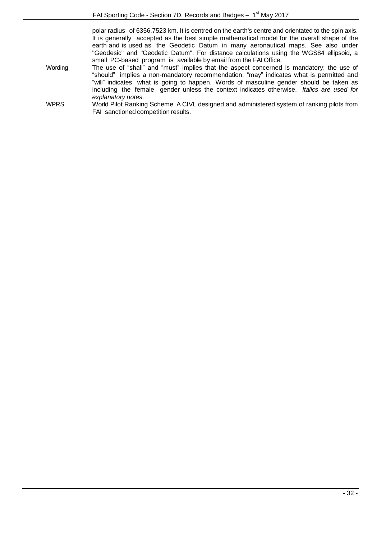polar radius of 6356,7523 km. It is centred on the earth's centre and orientated to the spin axis. It is generally accepted as the best simple mathematical model for the overall shape of the earth and is used as the Geodetic Datum in many aeronautical maps. See also under "Geodesic" and "Geodetic Datum". For distance calculations using the WGS84 ellipsoid, a small PC-based program is available by email from the FAI Office.

Wording The use of "shall" and "must" implies that the aspect concerned is mandatory; the use of "should" implies a non-mandatory recommendation; "may" indicates what is permitted and "will" indicates what is going to happen. Words of masculine gender should be taken as including the female gender unless the context indicates otherwise. *Italics are used for explanatory notes.*

WPRS World Pilot Ranking Scheme. A CIVL designed and administered system of ranking pilots from FAI sanctioned competition results.